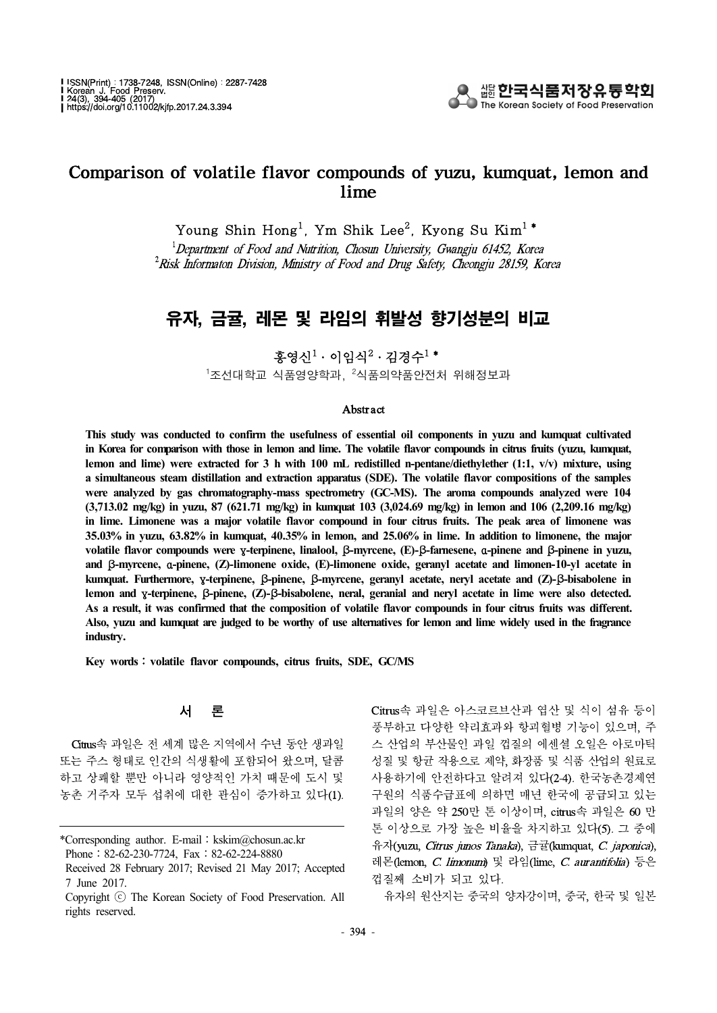

## Comparison of volatile flavor compounds of yuzu, kumquat, lemon and lime

Young Shin Hong<sup>1</sup>, Ym Shik Lee<sup>2</sup>, Kyong Su Kim<sup>1</sup>\*

 $1$ Department of Food and Nutrition, Chosun University, Gwangju 61452, Korea  $^2$ Risk Informaton Division, Ministry of Food and Drug Safety, Cheongju 28159, Korea

# 유자, 금귤, 레몬 및 라임의 휘발성 향기성분의 비교

홍영신 $1 \cdot$  이임식 $2 \cdot 2$ 경수 $1$  \*

<sup>1</sup>조선대학교 식품영양학과, <sup>2</sup>식품의약품안전처 위해정보과

#### Abstract

**This study was conducted to confirm the usefulness of essential oil components in yuzu and kumquat cultivated in Korea for comparison with those in lemon and lime. The volatile flavor compounds in citrus fruits (yuzu, kumquat, lemon and lime) were extracted for 3 h with 100 mL redistilled n-pentane/diethylether (1:1, v/v) mixture, using a simultaneous steam distillation and extraction apparatus (SDE). The volatile flavor compositions of the samples were analyzed by gas chromatography-mass spectrometry (GC-MS). The aroma compounds analyzed were 104 (3,713.02 mg/kg) in yuzu, 87 (621.71 mg/kg) in kumquat 103 (3,024.69 mg/kg) in lemon and 106 (2,209.16 mg/kg) in lime. Limonene was a major volatile flavor compound in four citrus fruits. The peak area of limonene was 35.03% in yuzu, 63.82% in kumquat, 40.35% in lemon, and 25.06% in lime. In addition to limonene, the major volatile flavor compounds were** γ**-terpinene, linalool,** β**-myrcene, (E)-**β**-farnesene,** α**-pinene and** β**-pinene in yuzu, and** β**-myrcene,** α**-pinene, (Z)-limonene oxide, (E)-limonene oxide, geranyl acetate and limonen-10-yl acetate in kumquat. Furthermore,** γ**-terpinene,** β**-pinene,** β**-myrcene, geranyl acetate, neryl acetate and (Z)-**β**-bisabolene in lemon and** γ**-terpinene,** β**-pinene, (Z)-**β**-bisabolene, neral, geranial and neryl acetate in lime were also detected. As a result, it was confirmed that the composition of volatile flavor compounds in four citrus fruits was different. Also, yuzu and kumquat are judged to be worthy of use alternatives for lemon and lime widely used in the fragrance industry.**

**Key words**:**volatile flavor compounds, citrus fruits, SDE, GC/MS** 

#### 서 론

Citrus속 과일은 전 세계 많은 지역에서 수년 동안 생과일 또는 주스 형태로 인간의 식생활에 포함되어 왔으며, 달콤 하고 상쾌할 뿐만 아니라 영양적인 가치 때문에 도시 및 농촌 거주자 모두 섭취에 대한 관심이 증가하고 있다(1). Citrus속 과일은 아스코르브산과 엽산 및 식이 섬유 등이 풍부하고 다양한 약리효과와 항괴혈병 기능이 있으며, 주 스 산업의 부산물인 과일 껍질의 에센셜 오일은 아로마틱 성질 및 항균 작용으로 제약, 화장품 및 식품 산업의 원료로 사용하기에 안전하다고 알려져 있다(2-4). 한국농촌경제연 구원의 식품수급표에 의하면 매년 한국에 공급되고 있는 과일의 양은 약 250만 톤 이상이며, citrus속 과일은 60 만 톤 이상으로 가장 높은 비율을 차지하고 있다(5). 그 중에 유자(yuzu, Citrus junos Tanaka), 금귤(kumquat, C. japonica), 레몬(lemon, C. limonum) 및 라임(lime, C.aurantifolia) 등은 껍질째 소비가 되고 있다.

유자의 원산지는 중국의 양자강이며, 중국, 한국 및 일본

<sup>\*</sup>Corresponding author. E-mail:kskim@chosun.ac.kr Phone: 82-62-230-7724, Fax: 82-62-224-8880

Received 28 February 2017; Revised 21 May 2017; Accepted 7 June 2017.

Copyright ⓒ The Korean Society of Food Preservation. All rights reserved.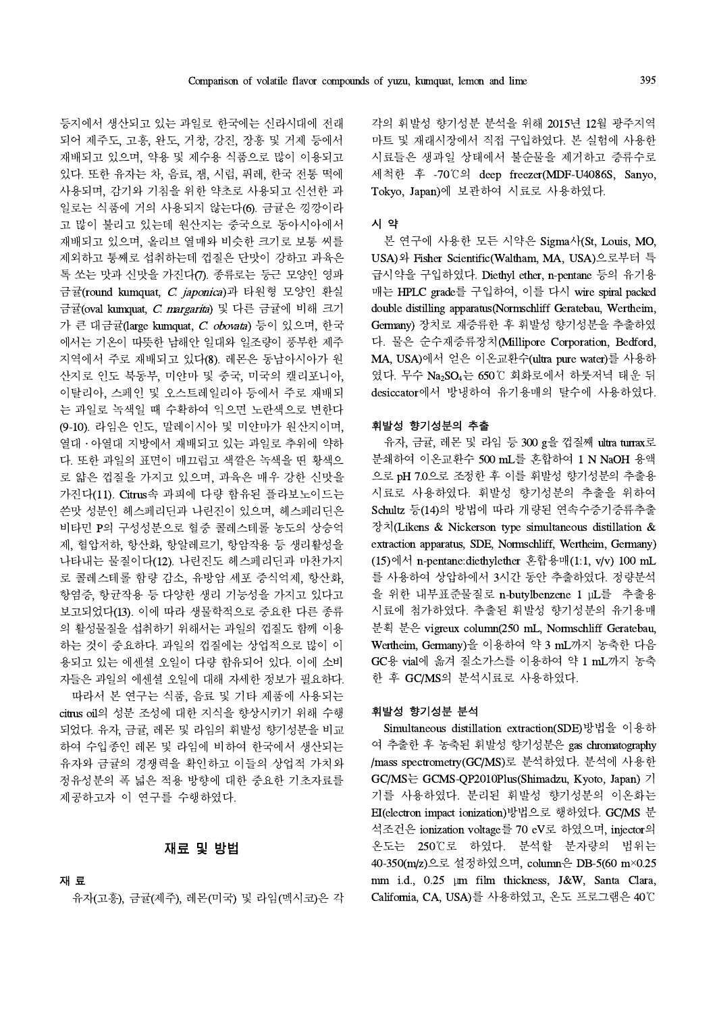등지에서 생산되고 있는 과일로 한국에는 신라시대에 전래 되어 제주도, 고흥, 완도, 거창, 강진, 장흥 및 거제 등에서 재배되고 있으며, 약용 및 제수용 식품으로 많이 이용되고 있다. 또한 유자는 차, 음료, 잼, 시럽, 퓌레, 한국 전통 떡에 사용되며, 감기와 기침을 위한 약초로 사용되고 신선한 과 일로는 식품에 거의 사용되지 않는다(6). 금귤은 낑깡이라 고 많이 불리고 있는데 원산지는 중국으로 동아시아에서 재배되고 있으며, 올리브 열매와 비슷한 크기로 보통 씨를 제외하고 통째로 섭취하는데 껍질은 단맛이 강하고 과육은 톡 쏘는 맛과 신맛을 가진다(7). 종류로는 둥근 모양인 영파 금귤(round kumquat, C. japonica)과 타원형 모양인 환실 금귤(oval kumquat, C. margarita) 및 다른 금귤에 비해 크기 가 큰 대금귤(large kumquat, C. obovata) 등이 있으며, 한국 에서는 기온이 따뜻한 남해안 일대와 일조량이 풍부한 제주 지역에서 주로 재배되고 있다(8). 레몬은 동남아시아가 원 산지로 인도 북동부, 미얀마 및 중국, 미국의 캘리포니아, 이탈리아, 스페인 및 오스트레일리아 등에서 주로 재배되 는 과일로 녹색일 때 수확하여 익으면 노란색으로 변한다 (9-10). 라임은 인도, 말레이시아 및 미얀마가 원산지이며, 열대․아열대 지방에서 재배되고 있는 과일로 추위에 약하 다. 또한 과일의 표면이 매끄럽고 색깔은 녹색을 띤 황색으 로 얇은 껍질을 가지고 있으며, 과육은 매우 강한 신맛을 가진다(11). Citrus속 과피에 다량 함유된 플라보노이드는 쓴맛 성분인 헤스페리딘과 나린진이 있으며, 헤스페리딘은 비타민 P의 구성성분으로 혈중 콜레스테롤 농도의 상승억 제, 혈압저하, 항산화, 항알레르기, 항암작용 등 생리활성을 나타내는 물질이다(12). 나린진도 헤스페리딘과 마찬가지 로 콜레스테롤 함량 감소, 유방암 세포 증식억제, 항산화, 항염증, 항균작용 등 다양한 생리 기능성을 가지고 있다고 보고되었다(13). 이에 따라 생물학적으로 중요한 다른 종류 의 활성물질을 섭취하기 위해서는 과일의 껍질도 함께 이용 하는 것이 중요하다. 과일의 껍질에는 상업적으로 많이 이 용되고 있는 에센셜 오일이 다량 함유되어 있다. 이에 소비 자들은 과일의 에센셜 오일에 대해 자세한 정보가 필요하다. 따라서 본 연구는 식품,음료 및 기타 제품에 사용되는 citrus oil의 성분 조성에 대한 지식을 향상시키기 위해 수행

되었다. 유자, 금귤, 레몬 및 라임의 휘발성 향기성분을 비교 하여 수입종인 레몬 및 라임에 비하여 한국에서 생산되는 유자와 금귤의 경쟁력을 확인하고 이들의 상업적 가치와 정유성분의 폭 넓은 적용 방향에 대한 중요한 기초자료를 제공하고자 이 연구를 수행하였다.

#### 재료 및 방법

### 재 료

유자(고흥), 금귤(제주), 레몬(미국) 및 라임(멕시코)은 각

각의 휘발성 향기성분 분석을 위해 2015년 12월 광주지역 마트 및 재래시장에서 직접 구입하였다. 본 실험에 사용한 시료들은 생과일 상태에서 불순물을 제거하고 증류수로 세척한 후 -70℃의 deep freezer(MDF-U4086S, Sanyo, Tokyo, Japan)에 보관하여 시료로 사용하였다.

#### 시 약

본 연구에 사용한 모든 시약은 Sigma사(St, Louis, MO, USA)와 Fisher Scientific(Waltham, MA, USA)으로부터 특 급시약을 구입하였다. Diethyl ether, n-pentane 등의 유기용 매는 HPLC grade를 구입하여, 이를 다시 wire spiral packed double distilling apparatus(Normschliff Geratebau, Wertheim, Germany) 장치로 재증류한 후 휘발성 향기성분을 추출하였 다. 물은 순수재증류장치(Millipore Corporation, Bedford, MA, USA)에서 얻은 이온교환수(ultra pure water)를 사용하 였다. 무수 Na2SO4는 650℃ 회화로에서 하룻저녁 태운 뒤 desiccator에서 방냉하여 유기용매의 탈수에 사용하였다.

#### 휘발성 향기성분의 추출

유자, 금귤, 레몬 및 라임 등 300 g을 껍질째 ultra turrax로 분쇄하여 이온교환수 500 mL를 혼합하여 1 N NaOH 용액 으로 pH 7.0으로 조정한 후 이를 휘발성 향기성분의 추출용 시료로 사용하였다. 휘발성 향기성분의 추출을 위하여 Schultz 등(14)의 방법에 따라 개량된 연속수증기증류추출 장치(Likens & Nickerson type simultaneous distillation & extraction apparatus, SDE, Normschliff, Wertheim, Germany) (15)에서 n-pentane:diethylether 혼합용매(1:1, v/v) 100 mL 를 사용하여 상압하에서 3시간 동안 추출하였다. 정량분석 을 위한 내부표준물질로 n-butylbenzene 1 μL를 추출용 시료에 첨가하였다. 추출된 휘발성 향기성분의 유기용매 분획 분은 vigreux column(250 mL, Normschliff Geratebau, Wertheim, Germany)을 이용하여 약 3 mL까지 농축한 다음 GC용 vial에 옮겨 질소가스를 이용하여 약 1 mL까지 농축 한 후 GC/MS의 분석시료로 사용하였다.

#### 휘발성 향기성분 분석

Simultaneous distillation extraction(SDE)방법을 이용하 여 추출한 후 농축된 휘발성 향기성분은 gas chromatography /mass spectrometry(GC/MS)로 분석하였다. 분석에 사용한 GC/MS는 GCMS-QP2010Plus(Shimadzu, Kyoto, Japan) 기 기를 사용하였다. 분리된 휘발성 향기성분의 이온화는 EI(electron impact ionization)방법으로 행하였다. GC/MS 분 석조건은 ionization voltage를 70 eV로 하였으며, injector의 온도는 250℃로 하였다. 분석할 분자량의 범위는 40-350(m/z)으로 설정하였으며, column은 DB-5(60m×0.25 mm i.d., 0.25 μm film thickness, J&W, Santa Clara, California, CA, USA)를 사용하였고, 온도 프로그램은 40℃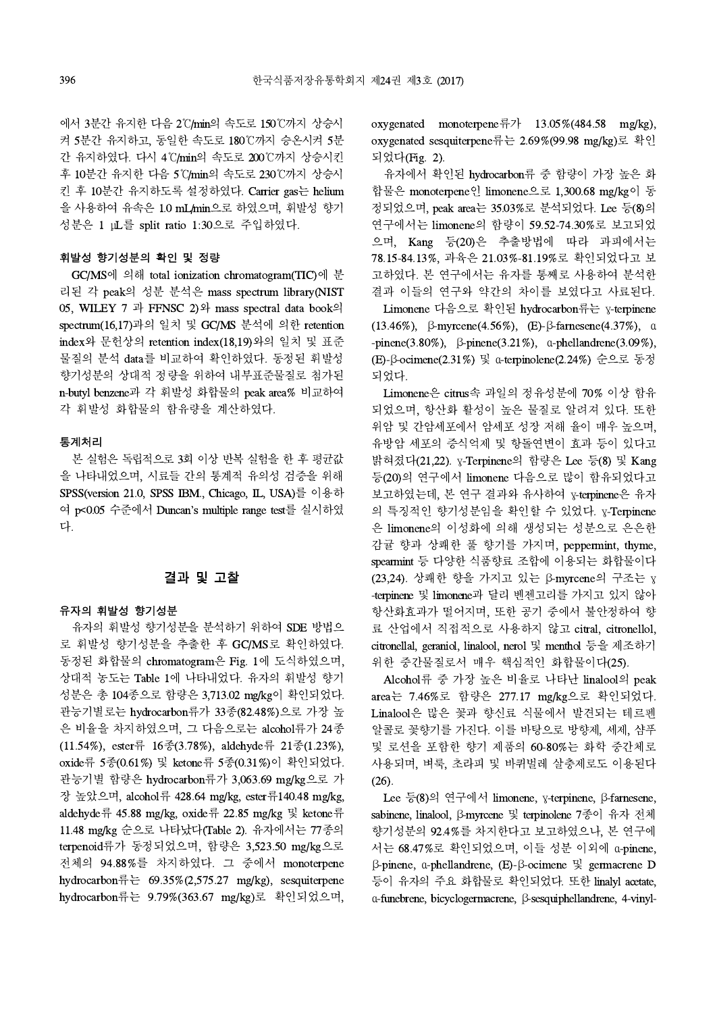에서 3분간 유지한 다음 2℃/min의 속도로 150℃까지 상승시 켜 5분간 유지하고, 동일한 속도로 180℃까지 승온시켜 5분 간 유지하였다. 다시 4℃/min의 속도로 200℃까지 상승시킨 후 10분간 유지한 다음 5℃/min의 속도로 230℃까지 상승시 킨 후 10분간 유지하도록 설정하였다. Carrier gas는 helium 을 사용하여 유속은 1.0 mL/min으로 하였으며, 휘발성 향기 성분은 1 μL를 split ratio 1:30으로 주입하였다.

#### 휘발성 향기성분의 확인 및 정량

GC/MS에 의해 total ionization chromatogram(TIC)에 분 리된 각 peak의 성분 분석은 mass spectrum library(NIST 05, WILEY 7 과 FFNSC 2)와 mass spectral data book의 spectrum(16,17)과의 일치 및 GC/MS분석에 의한 retention index와 문헌상의 retention index(18,19)와의 일치 및 표준 물질의 분석 data를 비교하여 확인하였다. 동정된 휘발성 향기성분의 상대적 정량을 위하여 내부표준물질로 첨가된 n-butyl benzene과 각 휘발성 화합물의 peak area% 비교하여 각 휘발성 화합물의 함유량을 계산하였다.

#### 통계처리

본 실험은 독립적으로 3회 이상 반복 실험을 한 후 평균값 을 나타내었으며, 시료들 간의 통계적 유의성 검증을 위해 SPSS(version 21.0, SPSS IBM., Chicago, IL, USA)를 이용하 여 p<0.05 수준에서 Duncan's multiple range test를 실시하였 다.

## 결과 및 고찰

#### 유자의 휘발성 향기성분

유자의 휘발성 향기성분을 분석하기 위하여 SDE 방법으 로 휘발성 향기성분을 추출한 후 GC/MS로 확인하였다. 동정된 화합물의 chromatogram은 Fig. 1에 도식하였으며, 상대적 농도는 Table 1에 나타내었다. 유자의 휘발성 향기 성분은 총 104종으로 함량은 3,713.02 mg/kg이 확인되었다. 관능기별로는 hydrocarbon류가 33종(82.48%)으로 가장 높 은 비율을 차지하였으며, 그 다음으로는 alcohol류가 24종 (11.54%), ester류 16종(3.78%), aldehyde류 21종(1.23%), oxide류 5종(0.61%) 및 ketone류 5종(0.31%)이 확인되었다. 관능기별 함량은 hydrocarbon류가 3,063.69mg/kg으로 가 장 높았으며, alcohol류 428.64 mg/kg, ester류140.48 mg/kg, aldehyde류 45.88 mg/kg, oxide류 22.85 mg/kg 및 ketone류 11.48 mg/kg 순으로 나타났다(Table 2). 유자에서는 77종의 terpenoid류가 동정되었으며, 함량은 3,523.50 mg/kg으로 전체의 94.88%를 차지하였다.그 중에서 monoterpene hydrocarbon류는 69.35%(2,575.27 mg/kg), sesquiterpene hydrocarbon류는 9.79%(363.67 mg/kg)로 확인되었으며,

oxygenated monoterpene류가 13.05%(484.58 mg/kg), oxygenated sesquiterpene류는 2.69%(99.98 mg/kg)로 확인 되었다(Fig. 2).

유자에서 확인된 hydrocarbon류 중 함량이 가장 높은 화 합물은 monoterpene인 limonene으로 1,300.68mg/kg이 동 정되었으며, peak area는 35.03%로 분석되었다. Lee 등(8)의 연구에서는 limonene의 함량이 59.52-74.30%로 보고되었 으며, Kang 등(20)은 추출방법에 따라 과피에서는 78.15-84.13%, 과육은 21.03%-81.19%로 확인되었다고 보 고하였다. 본 연구에서는 유자를 통째로 사용하여 분석한 결과 이들의 연구와 약간의 차이를 보였다고 사료된다.

Limonene 다음으로 확인된 hydrocarbon류는 γ-terpinene (13.46%), β-myrcene(4.56%), (E)-β-farnesene(4.37%), α -pinene(3.80%), β-pinene(3.21%), α-phellandrene(3.09%), (E)-β-ocimene(2.31%) 및 α-terpinolene(2.24%) 순으로 동정 되었다.

Limonene은 citrus속 과일의 정유성분에 70% 이상 함유 되었으며, 항산화 활성이 높은 물질로 알려져 있다. 또한 위암 및 간암세포에서 암세포 성장 저해 율이 매우 높으며, 유방암 세포의 증식억제 및 항돌연변이 효과 등이 있다고 밝혀졌다(21,22). γ-Terpinene의 함량은 Lee 등(8) 및 Kang 등(20)의 연구에서 limonene 다음으로 많이 함유되었다고 보고하였는데, 본 연구 결과와 유사하여 γ-terpinene은 유자 의 특징적인 향기성분임을 확인할 수 있었다. γ-Terpinene 은 limonene의 이성화에 의해 생성되는 성분으로 은은한 감귤 향과 상쾌한 풀 향기를 가지며, peppermint, thyme, spearmint 등 다양한 식품향료 조합에 이용되는 화합물이다 (23,24). 상쾌한 향을 가지고 있는 β-myrcene의 구조는 γ -terpinene 및 limonene과 달리 벤젠고리를 가지고 있지 않아 항산화효과가 떨어지며, 또한 공기 중에서 불안정하여 향 료 산업에서 직접적으로 사용하지 않고 citral, citronellol, citronellal, geraniol, linalool, nerol 및 menthol 등을 제조하기 위한 중간물질로서 매우 핵심적인 화합물이다(25).

Alcohol류 중 가장 높은 비율로 나타난 linalool의 peak area는 7.46%로 함량은 277.17 mg/kg으로 확인되었다. Linalool은 많은 꽃과 향신료 식물에서 발견되는 테르펜 알콜로 꽃향기를 가진다. 이를 바탕으로 방향제, 세제,샴푸 및 로션을 포함한 향기 제품의 60-80%는 화학 중간체로 사용되며, 벼룩, 초라피 및 바퀴벌레 살충제로도 이용된다 (26).

Lee 등(8)의 연구에서 limonene, γ-terpinene, β-farnesene, sabinene, linalool, β-myrcene 및 terpinolene 7종이 유자 전체 향기성분의 92.4%를 차지한다고 보고하였으나, 본 연구에 서는 68.47%로 확인되었으며, 이들 성분 이외에 α-pinene, β-pinene, α-phellandrene, (E)-β-ocimene 및 germacrene D 등이 유자의 주요 화합물로 확인되었다. 또한 linalyl acetate, α-funebrene, bicyclogermacrene, β-sesquiphellandrene, 4-vinyl-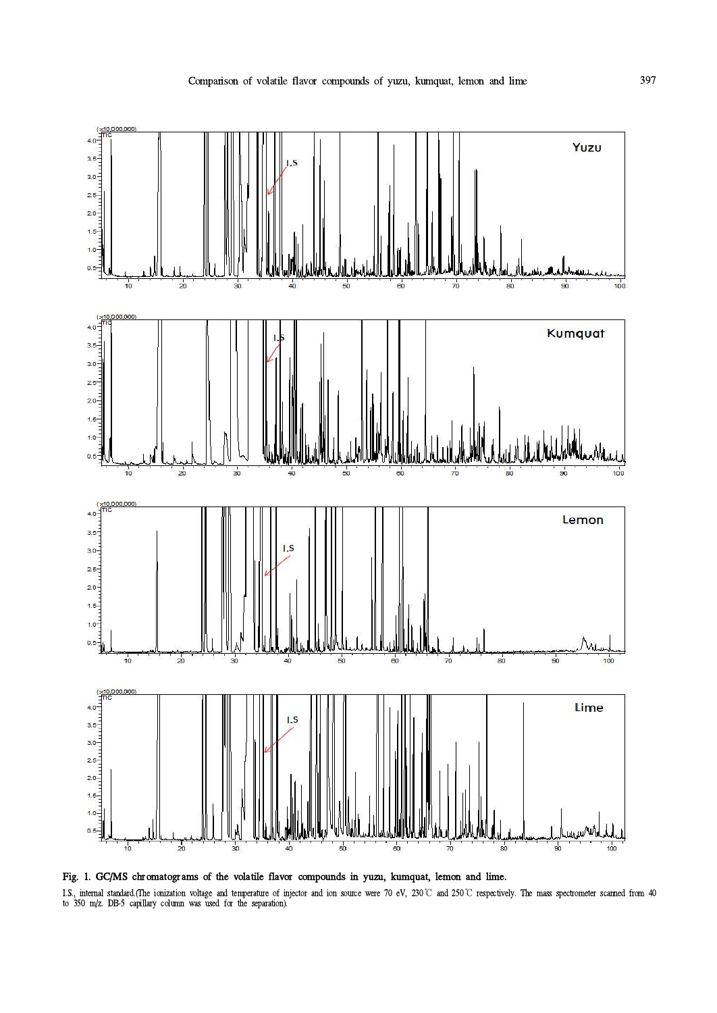

I.S., internal standard.(The ionization voltage and temperature of injector and ion source were 70 eV, 230℃ and 250℃ respectively. The mass spectrometer scanned from 40 to 350 m/z. DB-5 capillary column was used for the separation).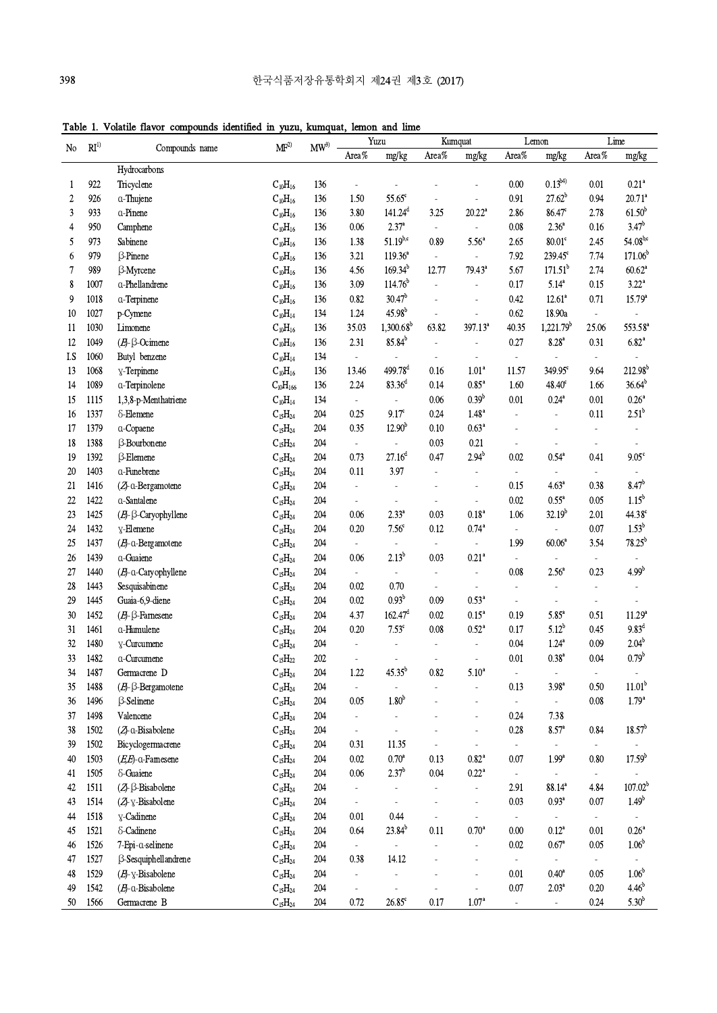Table 1. Volatile flavor compounds identified in yuzu, kumquat, lemon and lime

| Area%<br>Area%<br>Area $\%$<br>mg/kg<br>Area%<br>mg/kg<br>mg/kg<br>mg/kg<br>Hydrocarbons<br>$0.13^{b4}$<br>$0.21$ <sup>a</sup><br>922<br>0.00<br>Tricyclene<br>$C_{10}H_{16}$<br>136<br>0.01<br>1<br>$\overline{a}$<br>$27.62^{b}$<br>$20.71^a$<br>55.65 <sup>c</sup><br>0.91<br>0.94<br>926<br>$C_{10}H_{16}$<br>1.50<br>2<br>a-Thujene<br>136<br>$61.50^{b}$<br>141.24 <sup>d</sup><br>933<br>$C_{10}H_{16}$<br>3.80<br>3.25<br>20.22 <sup>a</sup><br>2.86<br>$86.47^{\circ}$<br>2.78<br>3<br>a-Pinene<br>136<br>3.47 <sup>b</sup><br>$2.37^{\mathrm{a}}$<br>$2.36^{a}$<br>950<br>0.06<br>0.08<br>Camphene<br>$C_{10}H_{16}$<br>0.16<br>4<br>136<br>$\blacksquare$<br>$\overline{a}$<br>$54.08^{b,c}$<br>$51.19^{b,c}$<br>$80.01^\circ$<br>973<br>1.38<br>0.89<br>5.56 <sup>a</sup><br>2.65<br>2.45<br>5<br>Sabinene<br>$C_{10}H_{16}$<br>136<br>$239.45^{\circ}$<br>7.74<br>171.06 <sup>b</sup><br>979<br><b>ß-Pinene</b><br>3.21<br>$119.36^{a}$<br>7.92<br>6<br>$C_{10}H_{16}$<br>136<br>$\Box$<br>171.51 <sup>b</sup><br>4.56<br>$169.34^{b}$<br>5.67<br>2.74<br>$60.62^a$<br>7<br>989<br>12.77<br>$79.43^a$<br>β-Myrcene<br>$C_{10}H_{16}$<br>136<br>$114.76^{b}$<br>$3.22^a$<br>8<br>1007<br>3.09<br>0.17<br>$5.14^{a}$<br>0.15<br>a-Phellandrene<br>$C_{10}H_{16}$<br>136<br>$\sim$<br>$30.47^b$<br>9<br>1018<br>0.82<br>0.42<br>$12.61^a$<br>0.71<br>$15.79^{\circ}$<br>$C_{10}H_{16}$<br>a-Terpinene<br>136<br>$45.98^{b}$<br>0.62<br>10<br>1027<br>1.24<br>18.90a<br>$C_{10}H_{14}$<br>134<br>p-Cymene<br>$\blacksquare$<br>$1,300.68^b$<br>397.13 <sup>a</sup><br>$1,221.79$ <sup>b</sup><br>1030<br>35.03<br>63.82<br>40.35<br>25.06<br>553.58 <sup>a</sup><br>Limonene<br>$C_{10}H_{16}$<br>136<br>11<br>$85.84^{b}$<br>1049<br>2.31<br>0.27<br>$6.82$ <sup>a</sup><br>12<br>$(E)$ - $\beta$ -Ocimene<br>$C_{10}H_{16}$<br>136<br>$8.28$ <sup>a</sup><br>0.31<br>÷,<br>1060<br>I.S<br>Butyl benzene<br>$C_{10}H_{14}$<br>134<br>÷,<br>$\blacksquare$<br>$\blacksquare$<br>499.78 <sup>d</sup><br>212.98 <sup>b</sup><br>1068<br>1.01 <sup>a</sup><br>349.95 <sup>c</sup><br>9.64<br>13<br>y-Terpinene<br>$C_{10}H_{16}$<br>136<br>13.46<br>0.16<br>11.57<br>$83.36^{d}$<br>$36.64^{b}$<br>1089<br>a-Terpinolene<br>136<br>2.24<br>0.14<br>$0.85^{\rm a}$<br>1.60<br>1.66<br>14<br>$C_{10}H_{166}$<br>$48.40^\circ$<br>$0.39^{b}$<br>$0.24^{\mathrm{a}}$<br>$0.26^{\mathrm{a}}$<br>1115<br>$C_{10}H_{14}$<br>134<br>0.06<br>0.01<br>0.01<br>15<br>1,3,8-p-Menthatriene<br>$\overline{\phantom{a}}$<br>$2.51^{b}$<br>1.48 <sup>a</sup><br>1337<br>204<br>0.25<br>$9.17^\circ$<br>0.24<br>0.11<br>16<br>δ-Elemene<br>$C_{15}H_{24}$<br>$\overline{\phantom{a}}$<br>$12.90^{b}$<br>0.10<br>$0.63^{\rm a}$<br>1379<br>$C_{15}H_{24}$<br>204<br>0.35<br>17<br>a-Copaene<br>÷,<br>0.03<br>18<br>1388<br>β-Bourbonene<br>$C_{15}H_{24}$<br>204<br>0.21<br>$\omega$<br>ä,<br>÷,<br>27.16 <sup>d</sup><br>$2.94^{b}$<br>19<br>0.73<br>0.47<br>0.02<br>$0.54^{\circ}$<br>$9.05^{\circ}$<br>1392<br>$\beta$ -Elemene<br>$C_{15}H_{24}$<br>204<br>0.41<br>1403<br>a-Funebrene<br>0.11<br>3.97<br>20<br>$C_{15}H_{24}$<br>204<br>$\overline{a}$<br>$\blacksquare$<br>$\overline{\phantom{a}}$<br>$8.47^{b}$<br>1416<br>$C_{15}H_{24}$<br>204<br>0.15<br>4.63 <sup>a</sup><br>0.38<br>21<br>(ZJ-a-Bergamotene<br>$\overline{\phantom{a}}$<br>÷,<br>1.15 <sup>b</sup><br>0.02<br>$0.55^a$<br>$0.05\,$<br>22<br>1422<br>a-Santalene<br>204<br>$C_{15}H_{24}$<br>$\overline{\phantom{a}}$<br>$\overline{\phantom{a}}$<br>$\overline{a}$<br>$32.19^{b}$<br>1425<br>$2.33^{a}$<br>0.18 <sup>a</sup><br>1.06<br>2.01<br>44.38 <sup>c</sup><br>23<br>$(E)$ - $\beta$ -Caryophyllene<br>$C_{15}H_{24}$<br>204<br>0.06<br>0.03<br>$1.53^{b}$<br>7.56 <sup>c</sup><br>$0.74$ <sup>a</sup><br>0.07<br>24<br>1432<br>$C_{15}H_{24}$<br>204<br>$0.20\,$<br>0.12<br>y-Elemene<br>$\blacksquare$<br>$\frac{1}{2}$<br>$78.25^{b}$<br>1437<br>1.99<br>60.06 <sup>a</sup><br>3.54<br>25<br>$(E)$ -a-Bergamotene<br>$C_{15}H_{24}$<br>204<br>$\overline{\phantom{a}}$<br>$\overline{\phantom{a}}$<br>$\overline{\phantom{a}}$<br>$2.13^{b}$<br>$0.21$ <sup>a</sup><br>1439<br>$C_{15}H_{24}$<br>0.03<br>26<br>a-Guaiene<br>204<br>0.06<br>$\blacksquare$<br>$\blacksquare$<br>4.99 <sup>b</sup><br>$2.56^{\circ}$<br>27<br>1440<br>(E)-a-Caryophyllene<br>$C_{15}H_{24}$<br>204<br>0.08<br>0.23<br>$\blacksquare$<br>$\blacksquare$<br>÷,<br>28<br>1443<br>Sesquisabinene<br>$C_{15}H_{24}$<br>204<br>0.02<br>0.70<br>$\Box$<br>ä,<br>ä,<br>÷,<br>$0.93^{\rm b}$<br>29<br>Guaia-6,9-diene<br>204<br>0.02<br>0.09<br>$0.53$ <sup>a</sup><br>1445<br>$C_{15}H_{24}$<br>$\overline{\phantom{a}}$<br>÷,<br>$162.47^d$<br>30<br>1452<br>204<br>4.37<br>0.02<br>$0.15^a$<br>$5.85^a$<br>0.51<br>11.29 <sup>a</sup><br>$(E)$ - $\beta$ -Farnesene<br>$C_{15}H_{24}$<br>0.19<br>$5.12^{b}$<br>$9.83$ <sup>d</sup><br>$7.53^{\circ}$<br>$0.52\ensuremath{^{\mathrm{a}}}$<br>1461<br>a-Humulene<br>$C_{15}H_{24}$<br>204<br>0.20<br>0.08<br>0.17<br>0.45<br>31<br>$2.04^{\rm b}$<br>$1.24^{\text{a}}$<br>32<br>1480<br>$C_{15}H_{24}$<br>204<br>0.04<br>$0.09\,$<br>y-Curcumene<br>$\overline{\phantom{a}}$<br>$\overline{\phantom{a}}$<br>$\overline{a}$<br>L,<br>$0.79^{\rm b}$<br>1482<br>202<br>0.01<br>0.38 <sup>a</sup><br>0.04<br>33<br>a-Curcumene<br>$C_{15}H_{22}$<br>$45.35^b$<br>1487<br>Germacrene D<br>$C_{15}H_{24}$<br>204<br>1.22<br>0.82<br>$5.10^{\rm a}$<br>34<br>11.01 <sup>b</sup><br>0.13<br>3.98 <sup>a</sup><br>1488<br>$(E)$ - $\beta$ -Bergamotene<br>$C_{15}H_{24}$<br>204<br>0.50<br>35<br>$\blacksquare$<br>$\overline{\phantom{a}}$<br>1.80 <sup>b</sup><br>$1.79^{a}$<br>1496<br><b>ß-Selinene</b><br>204<br>0.05<br>$0.08\,$<br>36<br>$C_{15}H_{24}$<br>$\Box$<br>$\blacksquare$<br>$\overline{a}$<br>1498<br>Valencene<br>204<br>0.24<br>7.38<br>37<br>$C_{15}H_{24}$<br>ä,<br>÷,<br>$18.57^b$<br>38<br>1502<br>(Z-a-Bisabolene<br>0.28<br>$8.57^{a}$<br>0.84<br>$C_{15}H_{24}$<br>204<br>ä,<br>÷,<br>39<br>1502<br>Bicyclogermacrene<br>204<br>0.31<br>11.35<br>$C_{15}H_{24}$<br>÷,<br>ä,<br>$\blacksquare$<br>$\overline{\phantom{a}}$<br>$17.59^{\rm b}$<br>$0.70$ <sup>a</sup><br>40<br>1503<br>$(E,E)$ -a-Farnesene<br>204<br>0.02<br>0.13<br>$0.82^{\rm a}$<br>0.07<br>1.99 <sup>a</sup><br>0.80<br>$C_{15}H_{24}$<br>$2.37^{\rm b}$<br>δ-Guaiene<br>$0.06\,$<br>0.04<br>$0.22$ <sup>a</sup><br>1505<br>$C_{15}H_{24}$<br>204<br>41<br>$\overline{\phantom{a}}$<br>$\blacksquare$<br>$\qquad \qquad \blacksquare$<br>107.02 <sup>b</sup><br>$(Z - \beta - Bisabolene)$<br>42<br>1511<br>$C_{15}H_{24}$<br>204<br>2.91<br>$88.14^{a}$<br>4.84<br>$\blacksquare$<br>$\frac{1}{2}$<br>$\overline{a}$<br>1.49 <sup>b</sup><br>1514<br>(ZJ-y-Bisabolene<br>0.03<br>0.93 <sup>a</sup><br>0.07<br>43<br>$C_{15}H_{24}$<br>204<br>$\blacksquare$<br>÷,<br>1518<br>y-Cadinene<br>0.01<br>0.44<br>44<br>$C_{15}H_{24}$<br>204<br>$\Box$<br>$\blacksquare$<br>$\bar{\phantom{a}}$<br>÷,<br>$23.84^{b}$<br>$\delta$ -Cadinene<br>0.64<br>0.11<br>$0.70$ <sup>a</sup><br>$0.12^{a}$<br>$0.26^{\rm a}$<br>1521<br>0.00<br>0.01<br>45<br>$C_{15}H_{24}$<br>204<br>1.06 <sup>b</sup><br>7-Epi-a-selinene<br>0.02<br>$0.67$ <sup>a</sup><br>0.05<br>1526<br>$C_{15}H_{24}$<br>46<br>204<br>$\omega$<br>$\overline{\phantom{a}}$<br>$\overline{a}$<br>÷,<br>ß-Sesquiphellandrene<br>1527<br>$C_{15}H_{24}$<br>204<br>0.38<br>14.12<br>$\Box$<br>47<br>$\Box$<br>L,<br>$\overline{a}$<br>$\frac{1}{2}$<br>$1.06^{\rm b}$<br>$(E)$ - $Y$ -Bisabolene<br>0.01<br>$0.40^{\circ}$<br>0.05<br>48<br>1529<br>$C_{15}H_{24}$<br>204<br>$\Box$<br>$\overline{\phantom{a}}$<br>0.07<br>$2.03^a$<br>$4.46^{b}$<br>49<br>1542<br>$(E)$ -a-Bisabolene<br>204<br>0.20<br>$C_{15}H_{24}$<br>$\overline{\phantom{a}}$<br>$\blacksquare$<br>÷, | $RI^{(1)}$     |      |                |                 | $\text{MW}^3$ | Yuzu |                 | Kumquat |                                  | Lemon |                | Lime |            |
|-------------------------------------------------------------------------------------------------------------------------------------------------------------------------------------------------------------------------------------------------------------------------------------------------------------------------------------------------------------------------------------------------------------------------------------------------------------------------------------------------------------------------------------------------------------------------------------------------------------------------------------------------------------------------------------------------------------------------------------------------------------------------------------------------------------------------------------------------------------------------------------------------------------------------------------------------------------------------------------------------------------------------------------------------------------------------------------------------------------------------------------------------------------------------------------------------------------------------------------------------------------------------------------------------------------------------------------------------------------------------------------------------------------------------------------------------------------------------------------------------------------------------------------------------------------------------------------------------------------------------------------------------------------------------------------------------------------------------------------------------------------------------------------------------------------------------------------------------------------------------------------------------------------------------------------------------------------------------------------------------------------------------------------------------------------------------------------------------------------------------------------------------------------------------------------------------------------------------------------------------------------------------------------------------------------------------------------------------------------------------------------------------------------------------------------------------------------------------------------------------------------------------------------------------------------------------------------------------------------------------------------------------------------------------------------------------------------------------------------------------------------------------------------------------------------------------------------------------------------------------------------------------------------------------------------------------------------------------------------------------------------------------------------------------------------------------------------------------------------------------------------------------------------------------------------------------------------------------------------------------------------------------------------------------------------------------------------------------------------------------------------------------------------------------------------------------------------------------------------------------------------------------------------------------------------------------------------------------------------------------------------------------------------------------------------------------------------------------------------------------------------------------------------------------------------------------------------------------------------------------------------------------------------------------------------------------------------------------------------------------------------------------------------------------------------------------------------------------------------------------------------------------------------------------------------------------------------------------------------------------------------------------------------------------------------------------------------------------------------------------------------------------------------------------------------------------------------------------------------------------------------------------------------------------------------------------------------------------------------------------------------------------------------------------------------------------------------------------------------------------------------------------------------------------------------------------------------------------------------------------------------------------------------------------------------------------------------------------------------------------------------------------------------------------------------------------------------------------------------------------------------------------------------------------------------------------------------------------------------------------------------------------------------------------------------------------------------------------------------------------------------------------------------------------------------------------------------------------------------------------------------------------------------------------------------------------------------------------------------------------------------------------------------------------------------------------------------------------------------------------------------------------------------------------------------------------------------------------------------------------------------------------------------------------------------------------------------------------------------------------------------------------------------------------------------------------------------------------------------------------------------------------------------------------------------------------------------------------------------------------------------------------------------------------------------------------------------------------------------------------------------------------------------------------------------------------------------------------------------------------------------------------------------------------------------------------------------------------------------------------------------------------------------------------------------------------------------------------------------------------------------------------------------------------------------------------------------------------------------------------------------------------------------------------------------------------------------------------------------------------------------------------------------------------------------------------------------------------------------------------------------------------------------------------------------------------------------------------------------------------------------------------------------------------------------------------------------------------------------------------------------------------------------------------------------------------------------------------------------------------------------------------------------------------------------------------------------------------------------------------------------------------------------------------------------------------------------------------------------------------------------------------------------------------------------------------|----------------|------|----------------|-----------------|---------------|------|-----------------|---------|----------------------------------|-------|----------------|------|------------|
|                                                                                                                                                                                                                                                                                                                                                                                                                                                                                                                                                                                                                                                                                                                                                                                                                                                                                                                                                                                                                                                                                                                                                                                                                                                                                                                                                                                                                                                                                                                                                                                                                                                                                                                                                                                                                                                                                                                                                                                                                                                                                                                                                                                                                                                                                                                                                                                                                                                                                                                                                                                                                                                                                                                                                                                                                                                                                                                                                                                                                                                                                                                                                                                                                                                                                                                                                                                                                                                                                                                                                                                                                                                                                                                                                                                                                                                                                                                                                                                                                                                                                                                                                                                                                                                                                                                                                                                                                                                                                                                                                                                                                                                                                                                                                                                                                                                                                                                                                                                                                                                                                                                                                                                                                                                                                                                                                                                                                                                                                                                                                                                                                                                                                                                                                                                                                                                                                                                                                                                                                                                                                                                                                                                                                                                                                                                                                                                                                                                                                                                                                                                                                                                                                                                                                                                                                                                                                                                                                                                                                                                                                                                                                                                                                                                                                                                                                                                                                                                                                                                                                                                                                                                                                                                                                                                                                         | N <sub>o</sub> |      | Compounds name | MF <sup>2</sup> |               |      |                 |         |                                  |       |                |      |            |
|                                                                                                                                                                                                                                                                                                                                                                                                                                                                                                                                                                                                                                                                                                                                                                                                                                                                                                                                                                                                                                                                                                                                                                                                                                                                                                                                                                                                                                                                                                                                                                                                                                                                                                                                                                                                                                                                                                                                                                                                                                                                                                                                                                                                                                                                                                                                                                                                                                                                                                                                                                                                                                                                                                                                                                                                                                                                                                                                                                                                                                                                                                                                                                                                                                                                                                                                                                                                                                                                                                                                                                                                                                                                                                                                                                                                                                                                                                                                                                                                                                                                                                                                                                                                                                                                                                                                                                                                                                                                                                                                                                                                                                                                                                                                                                                                                                                                                                                                                                                                                                                                                                                                                                                                                                                                                                                                                                                                                                                                                                                                                                                                                                                                                                                                                                                                                                                                                                                                                                                                                                                                                                                                                                                                                                                                                                                                                                                                                                                                                                                                                                                                                                                                                                                                                                                                                                                                                                                                                                                                                                                                                                                                                                                                                                                                                                                                                                                                                                                                                                                                                                                                                                                                                                                                                                                                                         |                |      |                |                 |               |      |                 |         |                                  |       |                |      |            |
|                                                                                                                                                                                                                                                                                                                                                                                                                                                                                                                                                                                                                                                                                                                                                                                                                                                                                                                                                                                                                                                                                                                                                                                                                                                                                                                                                                                                                                                                                                                                                                                                                                                                                                                                                                                                                                                                                                                                                                                                                                                                                                                                                                                                                                                                                                                                                                                                                                                                                                                                                                                                                                                                                                                                                                                                                                                                                                                                                                                                                                                                                                                                                                                                                                                                                                                                                                                                                                                                                                                                                                                                                                                                                                                                                                                                                                                                                                                                                                                                                                                                                                                                                                                                                                                                                                                                                                                                                                                                                                                                                                                                                                                                                                                                                                                                                                                                                                                                                                                                                                                                                                                                                                                                                                                                                                                                                                                                                                                                                                                                                                                                                                                                                                                                                                                                                                                                                                                                                                                                                                                                                                                                                                                                                                                                                                                                                                                                                                                                                                                                                                                                                                                                                                                                                                                                                                                                                                                                                                                                                                                                                                                                                                                                                                                                                                                                                                                                                                                                                                                                                                                                                                                                                                                                                                                                                         |                |      |                |                 |               |      |                 |         |                                  |       |                |      |            |
|                                                                                                                                                                                                                                                                                                                                                                                                                                                                                                                                                                                                                                                                                                                                                                                                                                                                                                                                                                                                                                                                                                                                                                                                                                                                                                                                                                                                                                                                                                                                                                                                                                                                                                                                                                                                                                                                                                                                                                                                                                                                                                                                                                                                                                                                                                                                                                                                                                                                                                                                                                                                                                                                                                                                                                                                                                                                                                                                                                                                                                                                                                                                                                                                                                                                                                                                                                                                                                                                                                                                                                                                                                                                                                                                                                                                                                                                                                                                                                                                                                                                                                                                                                                                                                                                                                                                                                                                                                                                                                                                                                                                                                                                                                                                                                                                                                                                                                                                                                                                                                                                                                                                                                                                                                                                                                                                                                                                                                                                                                                                                                                                                                                                                                                                                                                                                                                                                                                                                                                                                                                                                                                                                                                                                                                                                                                                                                                                                                                                                                                                                                                                                                                                                                                                                                                                                                                                                                                                                                                                                                                                                                                                                                                                                                                                                                                                                                                                                                                                                                                                                                                                                                                                                                                                                                                                                         |                |      |                |                 |               |      |                 |         |                                  |       |                |      |            |
|                                                                                                                                                                                                                                                                                                                                                                                                                                                                                                                                                                                                                                                                                                                                                                                                                                                                                                                                                                                                                                                                                                                                                                                                                                                                                                                                                                                                                                                                                                                                                                                                                                                                                                                                                                                                                                                                                                                                                                                                                                                                                                                                                                                                                                                                                                                                                                                                                                                                                                                                                                                                                                                                                                                                                                                                                                                                                                                                                                                                                                                                                                                                                                                                                                                                                                                                                                                                                                                                                                                                                                                                                                                                                                                                                                                                                                                                                                                                                                                                                                                                                                                                                                                                                                                                                                                                                                                                                                                                                                                                                                                                                                                                                                                                                                                                                                                                                                                                                                                                                                                                                                                                                                                                                                                                                                                                                                                                                                                                                                                                                                                                                                                                                                                                                                                                                                                                                                                                                                                                                                                                                                                                                                                                                                                                                                                                                                                                                                                                                                                                                                                                                                                                                                                                                                                                                                                                                                                                                                                                                                                                                                                                                                                                                                                                                                                                                                                                                                                                                                                                                                                                                                                                                                                                                                                                                         |                |      |                |                 |               |      |                 |         |                                  |       |                |      |            |
|                                                                                                                                                                                                                                                                                                                                                                                                                                                                                                                                                                                                                                                                                                                                                                                                                                                                                                                                                                                                                                                                                                                                                                                                                                                                                                                                                                                                                                                                                                                                                                                                                                                                                                                                                                                                                                                                                                                                                                                                                                                                                                                                                                                                                                                                                                                                                                                                                                                                                                                                                                                                                                                                                                                                                                                                                                                                                                                                                                                                                                                                                                                                                                                                                                                                                                                                                                                                                                                                                                                                                                                                                                                                                                                                                                                                                                                                                                                                                                                                                                                                                                                                                                                                                                                                                                                                                                                                                                                                                                                                                                                                                                                                                                                                                                                                                                                                                                                                                                                                                                                                                                                                                                                                                                                                                                                                                                                                                                                                                                                                                                                                                                                                                                                                                                                                                                                                                                                                                                                                                                                                                                                                                                                                                                                                                                                                                                                                                                                                                                                                                                                                                                                                                                                                                                                                                                                                                                                                                                                                                                                                                                                                                                                                                                                                                                                                                                                                                                                                                                                                                                                                                                                                                                                                                                                                                         |                |      |                |                 |               |      |                 |         |                                  |       |                |      |            |
|                                                                                                                                                                                                                                                                                                                                                                                                                                                                                                                                                                                                                                                                                                                                                                                                                                                                                                                                                                                                                                                                                                                                                                                                                                                                                                                                                                                                                                                                                                                                                                                                                                                                                                                                                                                                                                                                                                                                                                                                                                                                                                                                                                                                                                                                                                                                                                                                                                                                                                                                                                                                                                                                                                                                                                                                                                                                                                                                                                                                                                                                                                                                                                                                                                                                                                                                                                                                                                                                                                                                                                                                                                                                                                                                                                                                                                                                                                                                                                                                                                                                                                                                                                                                                                                                                                                                                                                                                                                                                                                                                                                                                                                                                                                                                                                                                                                                                                                                                                                                                                                                                                                                                                                                                                                                                                                                                                                                                                                                                                                                                                                                                                                                                                                                                                                                                                                                                                                                                                                                                                                                                                                                                                                                                                                                                                                                                                                                                                                                                                                                                                                                                                                                                                                                                                                                                                                                                                                                                                                                                                                                                                                                                                                                                                                                                                                                                                                                                                                                                                                                                                                                                                                                                                                                                                                                                         |                |      |                |                 |               |      |                 |         |                                  |       |                |      |            |
|                                                                                                                                                                                                                                                                                                                                                                                                                                                                                                                                                                                                                                                                                                                                                                                                                                                                                                                                                                                                                                                                                                                                                                                                                                                                                                                                                                                                                                                                                                                                                                                                                                                                                                                                                                                                                                                                                                                                                                                                                                                                                                                                                                                                                                                                                                                                                                                                                                                                                                                                                                                                                                                                                                                                                                                                                                                                                                                                                                                                                                                                                                                                                                                                                                                                                                                                                                                                                                                                                                                                                                                                                                                                                                                                                                                                                                                                                                                                                                                                                                                                                                                                                                                                                                                                                                                                                                                                                                                                                                                                                                                                                                                                                                                                                                                                                                                                                                                                                                                                                                                                                                                                                                                                                                                                                                                                                                                                                                                                                                                                                                                                                                                                                                                                                                                                                                                                                                                                                                                                                                                                                                                                                                                                                                                                                                                                                                                                                                                                                                                                                                                                                                                                                                                                                                                                                                                                                                                                                                                                                                                                                                                                                                                                                                                                                                                                                                                                                                                                                                                                                                                                                                                                                                                                                                                                                         |                |      |                |                 |               |      |                 |         |                                  |       |                |      |            |
|                                                                                                                                                                                                                                                                                                                                                                                                                                                                                                                                                                                                                                                                                                                                                                                                                                                                                                                                                                                                                                                                                                                                                                                                                                                                                                                                                                                                                                                                                                                                                                                                                                                                                                                                                                                                                                                                                                                                                                                                                                                                                                                                                                                                                                                                                                                                                                                                                                                                                                                                                                                                                                                                                                                                                                                                                                                                                                                                                                                                                                                                                                                                                                                                                                                                                                                                                                                                                                                                                                                                                                                                                                                                                                                                                                                                                                                                                                                                                                                                                                                                                                                                                                                                                                                                                                                                                                                                                                                                                                                                                                                                                                                                                                                                                                                                                                                                                                                                                                                                                                                                                                                                                                                                                                                                                                                                                                                                                                                                                                                                                                                                                                                                                                                                                                                                                                                                                                                                                                                                                                                                                                                                                                                                                                                                                                                                                                                                                                                                                                                                                                                                                                                                                                                                                                                                                                                                                                                                                                                                                                                                                                                                                                                                                                                                                                                                                                                                                                                                                                                                                                                                                                                                                                                                                                                                                         |                |      |                |                 |               |      |                 |         |                                  |       |                |      |            |
|                                                                                                                                                                                                                                                                                                                                                                                                                                                                                                                                                                                                                                                                                                                                                                                                                                                                                                                                                                                                                                                                                                                                                                                                                                                                                                                                                                                                                                                                                                                                                                                                                                                                                                                                                                                                                                                                                                                                                                                                                                                                                                                                                                                                                                                                                                                                                                                                                                                                                                                                                                                                                                                                                                                                                                                                                                                                                                                                                                                                                                                                                                                                                                                                                                                                                                                                                                                                                                                                                                                                                                                                                                                                                                                                                                                                                                                                                                                                                                                                                                                                                                                                                                                                                                                                                                                                                                                                                                                                                                                                                                                                                                                                                                                                                                                                                                                                                                                                                                                                                                                                                                                                                                                                                                                                                                                                                                                                                                                                                                                                                                                                                                                                                                                                                                                                                                                                                                                                                                                                                                                                                                                                                                                                                                                                                                                                                                                                                                                                                                                                                                                                                                                                                                                                                                                                                                                                                                                                                                                                                                                                                                                                                                                                                                                                                                                                                                                                                                                                                                                                                                                                                                                                                                                                                                                                                         |                |      |                |                 |               |      |                 |         |                                  |       |                |      |            |
|                                                                                                                                                                                                                                                                                                                                                                                                                                                                                                                                                                                                                                                                                                                                                                                                                                                                                                                                                                                                                                                                                                                                                                                                                                                                                                                                                                                                                                                                                                                                                                                                                                                                                                                                                                                                                                                                                                                                                                                                                                                                                                                                                                                                                                                                                                                                                                                                                                                                                                                                                                                                                                                                                                                                                                                                                                                                                                                                                                                                                                                                                                                                                                                                                                                                                                                                                                                                                                                                                                                                                                                                                                                                                                                                                                                                                                                                                                                                                                                                                                                                                                                                                                                                                                                                                                                                                                                                                                                                                                                                                                                                                                                                                                                                                                                                                                                                                                                                                                                                                                                                                                                                                                                                                                                                                                                                                                                                                                                                                                                                                                                                                                                                                                                                                                                                                                                                                                                                                                                                                                                                                                                                                                                                                                                                                                                                                                                                                                                                                                                                                                                                                                                                                                                                                                                                                                                                                                                                                                                                                                                                                                                                                                                                                                                                                                                                                                                                                                                                                                                                                                                                                                                                                                                                                                                                                         |                |      |                |                 |               |      |                 |         |                                  |       |                |      |            |
|                                                                                                                                                                                                                                                                                                                                                                                                                                                                                                                                                                                                                                                                                                                                                                                                                                                                                                                                                                                                                                                                                                                                                                                                                                                                                                                                                                                                                                                                                                                                                                                                                                                                                                                                                                                                                                                                                                                                                                                                                                                                                                                                                                                                                                                                                                                                                                                                                                                                                                                                                                                                                                                                                                                                                                                                                                                                                                                                                                                                                                                                                                                                                                                                                                                                                                                                                                                                                                                                                                                                                                                                                                                                                                                                                                                                                                                                                                                                                                                                                                                                                                                                                                                                                                                                                                                                                                                                                                                                                                                                                                                                                                                                                                                                                                                                                                                                                                                                                                                                                                                                                                                                                                                                                                                                                                                                                                                                                                                                                                                                                                                                                                                                                                                                                                                                                                                                                                                                                                                                                                                                                                                                                                                                                                                                                                                                                                                                                                                                                                                                                                                                                                                                                                                                                                                                                                                                                                                                                                                                                                                                                                                                                                                                                                                                                                                                                                                                                                                                                                                                                                                                                                                                                                                                                                                                                         |                |      |                |                 |               |      |                 |         |                                  |       |                |      |            |
|                                                                                                                                                                                                                                                                                                                                                                                                                                                                                                                                                                                                                                                                                                                                                                                                                                                                                                                                                                                                                                                                                                                                                                                                                                                                                                                                                                                                                                                                                                                                                                                                                                                                                                                                                                                                                                                                                                                                                                                                                                                                                                                                                                                                                                                                                                                                                                                                                                                                                                                                                                                                                                                                                                                                                                                                                                                                                                                                                                                                                                                                                                                                                                                                                                                                                                                                                                                                                                                                                                                                                                                                                                                                                                                                                                                                                                                                                                                                                                                                                                                                                                                                                                                                                                                                                                                                                                                                                                                                                                                                                                                                                                                                                                                                                                                                                                                                                                                                                                                                                                                                                                                                                                                                                                                                                                                                                                                                                                                                                                                                                                                                                                                                                                                                                                                                                                                                                                                                                                                                                                                                                                                                                                                                                                                                                                                                                                                                                                                                                                                                                                                                                                                                                                                                                                                                                                                                                                                                                                                                                                                                                                                                                                                                                                                                                                                                                                                                                                                                                                                                                                                                                                                                                                                                                                                                                         |                |      |                |                 |               |      |                 |         |                                  |       |                |      |            |
|                                                                                                                                                                                                                                                                                                                                                                                                                                                                                                                                                                                                                                                                                                                                                                                                                                                                                                                                                                                                                                                                                                                                                                                                                                                                                                                                                                                                                                                                                                                                                                                                                                                                                                                                                                                                                                                                                                                                                                                                                                                                                                                                                                                                                                                                                                                                                                                                                                                                                                                                                                                                                                                                                                                                                                                                                                                                                                                                                                                                                                                                                                                                                                                                                                                                                                                                                                                                                                                                                                                                                                                                                                                                                                                                                                                                                                                                                                                                                                                                                                                                                                                                                                                                                                                                                                                                                                                                                                                                                                                                                                                                                                                                                                                                                                                                                                                                                                                                                                                                                                                                                                                                                                                                                                                                                                                                                                                                                                                                                                                                                                                                                                                                                                                                                                                                                                                                                                                                                                                                                                                                                                                                                                                                                                                                                                                                                                                                                                                                                                                                                                                                                                                                                                                                                                                                                                                                                                                                                                                                                                                                                                                                                                                                                                                                                                                                                                                                                                                                                                                                                                                                                                                                                                                                                                                                                         |                |      |                |                 |               |      |                 |         |                                  |       |                |      |            |
|                                                                                                                                                                                                                                                                                                                                                                                                                                                                                                                                                                                                                                                                                                                                                                                                                                                                                                                                                                                                                                                                                                                                                                                                                                                                                                                                                                                                                                                                                                                                                                                                                                                                                                                                                                                                                                                                                                                                                                                                                                                                                                                                                                                                                                                                                                                                                                                                                                                                                                                                                                                                                                                                                                                                                                                                                                                                                                                                                                                                                                                                                                                                                                                                                                                                                                                                                                                                                                                                                                                                                                                                                                                                                                                                                                                                                                                                                                                                                                                                                                                                                                                                                                                                                                                                                                                                                                                                                                                                                                                                                                                                                                                                                                                                                                                                                                                                                                                                                                                                                                                                                                                                                                                                                                                                                                                                                                                                                                                                                                                                                                                                                                                                                                                                                                                                                                                                                                                                                                                                                                                                                                                                                                                                                                                                                                                                                                                                                                                                                                                                                                                                                                                                                                                                                                                                                                                                                                                                                                                                                                                                                                                                                                                                                                                                                                                                                                                                                                                                                                                                                                                                                                                                                                                                                                                                                         |                |      |                |                 |               |      |                 |         |                                  |       |                |      |            |
|                                                                                                                                                                                                                                                                                                                                                                                                                                                                                                                                                                                                                                                                                                                                                                                                                                                                                                                                                                                                                                                                                                                                                                                                                                                                                                                                                                                                                                                                                                                                                                                                                                                                                                                                                                                                                                                                                                                                                                                                                                                                                                                                                                                                                                                                                                                                                                                                                                                                                                                                                                                                                                                                                                                                                                                                                                                                                                                                                                                                                                                                                                                                                                                                                                                                                                                                                                                                                                                                                                                                                                                                                                                                                                                                                                                                                                                                                                                                                                                                                                                                                                                                                                                                                                                                                                                                                                                                                                                                                                                                                                                                                                                                                                                                                                                                                                                                                                                                                                                                                                                                                                                                                                                                                                                                                                                                                                                                                                                                                                                                                                                                                                                                                                                                                                                                                                                                                                                                                                                                                                                                                                                                                                                                                                                                                                                                                                                                                                                                                                                                                                                                                                                                                                                                                                                                                                                                                                                                                                                                                                                                                                                                                                                                                                                                                                                                                                                                                                                                                                                                                                                                                                                                                                                                                                                                                         |                |      |                |                 |               |      |                 |         |                                  |       |                |      |            |
|                                                                                                                                                                                                                                                                                                                                                                                                                                                                                                                                                                                                                                                                                                                                                                                                                                                                                                                                                                                                                                                                                                                                                                                                                                                                                                                                                                                                                                                                                                                                                                                                                                                                                                                                                                                                                                                                                                                                                                                                                                                                                                                                                                                                                                                                                                                                                                                                                                                                                                                                                                                                                                                                                                                                                                                                                                                                                                                                                                                                                                                                                                                                                                                                                                                                                                                                                                                                                                                                                                                                                                                                                                                                                                                                                                                                                                                                                                                                                                                                                                                                                                                                                                                                                                                                                                                                                                                                                                                                                                                                                                                                                                                                                                                                                                                                                                                                                                                                                                                                                                                                                                                                                                                                                                                                                                                                                                                                                                                                                                                                                                                                                                                                                                                                                                                                                                                                                                                                                                                                                                                                                                                                                                                                                                                                                                                                                                                                                                                                                                                                                                                                                                                                                                                                                                                                                                                                                                                                                                                                                                                                                                                                                                                                                                                                                                                                                                                                                                                                                                                                                                                                                                                                                                                                                                                                                         |                |      |                |                 |               |      |                 |         |                                  |       |                |      |            |
|                                                                                                                                                                                                                                                                                                                                                                                                                                                                                                                                                                                                                                                                                                                                                                                                                                                                                                                                                                                                                                                                                                                                                                                                                                                                                                                                                                                                                                                                                                                                                                                                                                                                                                                                                                                                                                                                                                                                                                                                                                                                                                                                                                                                                                                                                                                                                                                                                                                                                                                                                                                                                                                                                                                                                                                                                                                                                                                                                                                                                                                                                                                                                                                                                                                                                                                                                                                                                                                                                                                                                                                                                                                                                                                                                                                                                                                                                                                                                                                                                                                                                                                                                                                                                                                                                                                                                                                                                                                                                                                                                                                                                                                                                                                                                                                                                                                                                                                                                                                                                                                                                                                                                                                                                                                                                                                                                                                                                                                                                                                                                                                                                                                                                                                                                                                                                                                                                                                                                                                                                                                                                                                                                                                                                                                                                                                                                                                                                                                                                                                                                                                                                                                                                                                                                                                                                                                                                                                                                                                                                                                                                                                                                                                                                                                                                                                                                                                                                                                                                                                                                                                                                                                                                                                                                                                                                         |                |      |                |                 |               |      |                 |         |                                  |       |                |      |            |
|                                                                                                                                                                                                                                                                                                                                                                                                                                                                                                                                                                                                                                                                                                                                                                                                                                                                                                                                                                                                                                                                                                                                                                                                                                                                                                                                                                                                                                                                                                                                                                                                                                                                                                                                                                                                                                                                                                                                                                                                                                                                                                                                                                                                                                                                                                                                                                                                                                                                                                                                                                                                                                                                                                                                                                                                                                                                                                                                                                                                                                                                                                                                                                                                                                                                                                                                                                                                                                                                                                                                                                                                                                                                                                                                                                                                                                                                                                                                                                                                                                                                                                                                                                                                                                                                                                                                                                                                                                                                                                                                                                                                                                                                                                                                                                                                                                                                                                                                                                                                                                                                                                                                                                                                                                                                                                                                                                                                                                                                                                                                                                                                                                                                                                                                                                                                                                                                                                                                                                                                                                                                                                                                                                                                                                                                                                                                                                                                                                                                                                                                                                                                                                                                                                                                                                                                                                                                                                                                                                                                                                                                                                                                                                                                                                                                                                                                                                                                                                                                                                                                                                                                                                                                                                                                                                                                                         |                |      |                |                 |               |      |                 |         |                                  |       |                |      |            |
|                                                                                                                                                                                                                                                                                                                                                                                                                                                                                                                                                                                                                                                                                                                                                                                                                                                                                                                                                                                                                                                                                                                                                                                                                                                                                                                                                                                                                                                                                                                                                                                                                                                                                                                                                                                                                                                                                                                                                                                                                                                                                                                                                                                                                                                                                                                                                                                                                                                                                                                                                                                                                                                                                                                                                                                                                                                                                                                                                                                                                                                                                                                                                                                                                                                                                                                                                                                                                                                                                                                                                                                                                                                                                                                                                                                                                                                                                                                                                                                                                                                                                                                                                                                                                                                                                                                                                                                                                                                                                                                                                                                                                                                                                                                                                                                                                                                                                                                                                                                                                                                                                                                                                                                                                                                                                                                                                                                                                                                                                                                                                                                                                                                                                                                                                                                                                                                                                                                                                                                                                                                                                                                                                                                                                                                                                                                                                                                                                                                                                                                                                                                                                                                                                                                                                                                                                                                                                                                                                                                                                                                                                                                                                                                                                                                                                                                                                                                                                                                                                                                                                                                                                                                                                                                                                                                                                         |                |      |                |                 |               |      |                 |         |                                  |       |                |      |            |
|                                                                                                                                                                                                                                                                                                                                                                                                                                                                                                                                                                                                                                                                                                                                                                                                                                                                                                                                                                                                                                                                                                                                                                                                                                                                                                                                                                                                                                                                                                                                                                                                                                                                                                                                                                                                                                                                                                                                                                                                                                                                                                                                                                                                                                                                                                                                                                                                                                                                                                                                                                                                                                                                                                                                                                                                                                                                                                                                                                                                                                                                                                                                                                                                                                                                                                                                                                                                                                                                                                                                                                                                                                                                                                                                                                                                                                                                                                                                                                                                                                                                                                                                                                                                                                                                                                                                                                                                                                                                                                                                                                                                                                                                                                                                                                                                                                                                                                                                                                                                                                                                                                                                                                                                                                                                                                                                                                                                                                                                                                                                                                                                                                                                                                                                                                                                                                                                                                                                                                                                                                                                                                                                                                                                                                                                                                                                                                                                                                                                                                                                                                                                                                                                                                                                                                                                                                                                                                                                                                                                                                                                                                                                                                                                                                                                                                                                                                                                                                                                                                                                                                                                                                                                                                                                                                                                                         |                |      |                |                 |               |      |                 |         |                                  |       |                |      |            |
|                                                                                                                                                                                                                                                                                                                                                                                                                                                                                                                                                                                                                                                                                                                                                                                                                                                                                                                                                                                                                                                                                                                                                                                                                                                                                                                                                                                                                                                                                                                                                                                                                                                                                                                                                                                                                                                                                                                                                                                                                                                                                                                                                                                                                                                                                                                                                                                                                                                                                                                                                                                                                                                                                                                                                                                                                                                                                                                                                                                                                                                                                                                                                                                                                                                                                                                                                                                                                                                                                                                                                                                                                                                                                                                                                                                                                                                                                                                                                                                                                                                                                                                                                                                                                                                                                                                                                                                                                                                                                                                                                                                                                                                                                                                                                                                                                                                                                                                                                                                                                                                                                                                                                                                                                                                                                                                                                                                                                                                                                                                                                                                                                                                                                                                                                                                                                                                                                                                                                                                                                                                                                                                                                                                                                                                                                                                                                                                                                                                                                                                                                                                                                                                                                                                                                                                                                                                                                                                                                                                                                                                                                                                                                                                                                                                                                                                                                                                                                                                                                                                                                                                                                                                                                                                                                                                                                         |                |      |                |                 |               |      |                 |         |                                  |       |                |      |            |
|                                                                                                                                                                                                                                                                                                                                                                                                                                                                                                                                                                                                                                                                                                                                                                                                                                                                                                                                                                                                                                                                                                                                                                                                                                                                                                                                                                                                                                                                                                                                                                                                                                                                                                                                                                                                                                                                                                                                                                                                                                                                                                                                                                                                                                                                                                                                                                                                                                                                                                                                                                                                                                                                                                                                                                                                                                                                                                                                                                                                                                                                                                                                                                                                                                                                                                                                                                                                                                                                                                                                                                                                                                                                                                                                                                                                                                                                                                                                                                                                                                                                                                                                                                                                                                                                                                                                                                                                                                                                                                                                                                                                                                                                                                                                                                                                                                                                                                                                                                                                                                                                                                                                                                                                                                                                                                                                                                                                                                                                                                                                                                                                                                                                                                                                                                                                                                                                                                                                                                                                                                                                                                                                                                                                                                                                                                                                                                                                                                                                                                                                                                                                                                                                                                                                                                                                                                                                                                                                                                                                                                                                                                                                                                                                                                                                                                                                                                                                                                                                                                                                                                                                                                                                                                                                                                                                                         |                |      |                |                 |               |      |                 |         |                                  |       |                |      |            |
|                                                                                                                                                                                                                                                                                                                                                                                                                                                                                                                                                                                                                                                                                                                                                                                                                                                                                                                                                                                                                                                                                                                                                                                                                                                                                                                                                                                                                                                                                                                                                                                                                                                                                                                                                                                                                                                                                                                                                                                                                                                                                                                                                                                                                                                                                                                                                                                                                                                                                                                                                                                                                                                                                                                                                                                                                                                                                                                                                                                                                                                                                                                                                                                                                                                                                                                                                                                                                                                                                                                                                                                                                                                                                                                                                                                                                                                                                                                                                                                                                                                                                                                                                                                                                                                                                                                                                                                                                                                                                                                                                                                                                                                                                                                                                                                                                                                                                                                                                                                                                                                                                                                                                                                                                                                                                                                                                                                                                                                                                                                                                                                                                                                                                                                                                                                                                                                                                                                                                                                                                                                                                                                                                                                                                                                                                                                                                                                                                                                                                                                                                                                                                                                                                                                                                                                                                                                                                                                                                                                                                                                                                                                                                                                                                                                                                                                                                                                                                                                                                                                                                                                                                                                                                                                                                                                                                         |                |      |                |                 |               |      |                 |         |                                  |       |                |      |            |
|                                                                                                                                                                                                                                                                                                                                                                                                                                                                                                                                                                                                                                                                                                                                                                                                                                                                                                                                                                                                                                                                                                                                                                                                                                                                                                                                                                                                                                                                                                                                                                                                                                                                                                                                                                                                                                                                                                                                                                                                                                                                                                                                                                                                                                                                                                                                                                                                                                                                                                                                                                                                                                                                                                                                                                                                                                                                                                                                                                                                                                                                                                                                                                                                                                                                                                                                                                                                                                                                                                                                                                                                                                                                                                                                                                                                                                                                                                                                                                                                                                                                                                                                                                                                                                                                                                                                                                                                                                                                                                                                                                                                                                                                                                                                                                                                                                                                                                                                                                                                                                                                                                                                                                                                                                                                                                                                                                                                                                                                                                                                                                                                                                                                                                                                                                                                                                                                                                                                                                                                                                                                                                                                                                                                                                                                                                                                                                                                                                                                                                                                                                                                                                                                                                                                                                                                                                                                                                                                                                                                                                                                                                                                                                                                                                                                                                                                                                                                                                                                                                                                                                                                                                                                                                                                                                                                                         |                |      |                |                 |               |      |                 |         |                                  |       |                |      |            |
|                                                                                                                                                                                                                                                                                                                                                                                                                                                                                                                                                                                                                                                                                                                                                                                                                                                                                                                                                                                                                                                                                                                                                                                                                                                                                                                                                                                                                                                                                                                                                                                                                                                                                                                                                                                                                                                                                                                                                                                                                                                                                                                                                                                                                                                                                                                                                                                                                                                                                                                                                                                                                                                                                                                                                                                                                                                                                                                                                                                                                                                                                                                                                                                                                                                                                                                                                                                                                                                                                                                                                                                                                                                                                                                                                                                                                                                                                                                                                                                                                                                                                                                                                                                                                                                                                                                                                                                                                                                                                                                                                                                                                                                                                                                                                                                                                                                                                                                                                                                                                                                                                                                                                                                                                                                                                                                                                                                                                                                                                                                                                                                                                                                                                                                                                                                                                                                                                                                                                                                                                                                                                                                                                                                                                                                                                                                                                                                                                                                                                                                                                                                                                                                                                                                                                                                                                                                                                                                                                                                                                                                                                                                                                                                                                                                                                                                                                                                                                                                                                                                                                                                                                                                                                                                                                                                                                         |                |      |                |                 |               |      |                 |         |                                  |       |                |      |            |
|                                                                                                                                                                                                                                                                                                                                                                                                                                                                                                                                                                                                                                                                                                                                                                                                                                                                                                                                                                                                                                                                                                                                                                                                                                                                                                                                                                                                                                                                                                                                                                                                                                                                                                                                                                                                                                                                                                                                                                                                                                                                                                                                                                                                                                                                                                                                                                                                                                                                                                                                                                                                                                                                                                                                                                                                                                                                                                                                                                                                                                                                                                                                                                                                                                                                                                                                                                                                                                                                                                                                                                                                                                                                                                                                                                                                                                                                                                                                                                                                                                                                                                                                                                                                                                                                                                                                                                                                                                                                                                                                                                                                                                                                                                                                                                                                                                                                                                                                                                                                                                                                                                                                                                                                                                                                                                                                                                                                                                                                                                                                                                                                                                                                                                                                                                                                                                                                                                                                                                                                                                                                                                                                                                                                                                                                                                                                                                                                                                                                                                                                                                                                                                                                                                                                                                                                                                                                                                                                                                                                                                                                                                                                                                                                                                                                                                                                                                                                                                                                                                                                                                                                                                                                                                                                                                                                                         |                |      |                |                 |               |      |                 |         |                                  |       |                |      |            |
|                                                                                                                                                                                                                                                                                                                                                                                                                                                                                                                                                                                                                                                                                                                                                                                                                                                                                                                                                                                                                                                                                                                                                                                                                                                                                                                                                                                                                                                                                                                                                                                                                                                                                                                                                                                                                                                                                                                                                                                                                                                                                                                                                                                                                                                                                                                                                                                                                                                                                                                                                                                                                                                                                                                                                                                                                                                                                                                                                                                                                                                                                                                                                                                                                                                                                                                                                                                                                                                                                                                                                                                                                                                                                                                                                                                                                                                                                                                                                                                                                                                                                                                                                                                                                                                                                                                                                                                                                                                                                                                                                                                                                                                                                                                                                                                                                                                                                                                                                                                                                                                                                                                                                                                                                                                                                                                                                                                                                                                                                                                                                                                                                                                                                                                                                                                                                                                                                                                                                                                                                                                                                                                                                                                                                                                                                                                                                                                                                                                                                                                                                                                                                                                                                                                                                                                                                                                                                                                                                                                                                                                                                                                                                                                                                                                                                                                                                                                                                                                                                                                                                                                                                                                                                                                                                                                                                         |                |      |                |                 |               |      |                 |         |                                  |       |                |      |            |
|                                                                                                                                                                                                                                                                                                                                                                                                                                                                                                                                                                                                                                                                                                                                                                                                                                                                                                                                                                                                                                                                                                                                                                                                                                                                                                                                                                                                                                                                                                                                                                                                                                                                                                                                                                                                                                                                                                                                                                                                                                                                                                                                                                                                                                                                                                                                                                                                                                                                                                                                                                                                                                                                                                                                                                                                                                                                                                                                                                                                                                                                                                                                                                                                                                                                                                                                                                                                                                                                                                                                                                                                                                                                                                                                                                                                                                                                                                                                                                                                                                                                                                                                                                                                                                                                                                                                                                                                                                                                                                                                                                                                                                                                                                                                                                                                                                                                                                                                                                                                                                                                                                                                                                                                                                                                                                                                                                                                                                                                                                                                                                                                                                                                                                                                                                                                                                                                                                                                                                                                                                                                                                                                                                                                                                                                                                                                                                                                                                                                                                                                                                                                                                                                                                                                                                                                                                                                                                                                                                                                                                                                                                                                                                                                                                                                                                                                                                                                                                                                                                                                                                                                                                                                                                                                                                                                                         |                |      |                |                 |               |      |                 |         |                                  |       |                |      |            |
|                                                                                                                                                                                                                                                                                                                                                                                                                                                                                                                                                                                                                                                                                                                                                                                                                                                                                                                                                                                                                                                                                                                                                                                                                                                                                                                                                                                                                                                                                                                                                                                                                                                                                                                                                                                                                                                                                                                                                                                                                                                                                                                                                                                                                                                                                                                                                                                                                                                                                                                                                                                                                                                                                                                                                                                                                                                                                                                                                                                                                                                                                                                                                                                                                                                                                                                                                                                                                                                                                                                                                                                                                                                                                                                                                                                                                                                                                                                                                                                                                                                                                                                                                                                                                                                                                                                                                                                                                                                                                                                                                                                                                                                                                                                                                                                                                                                                                                                                                                                                                                                                                                                                                                                                                                                                                                                                                                                                                                                                                                                                                                                                                                                                                                                                                                                                                                                                                                                                                                                                                                                                                                                                                                                                                                                                                                                                                                                                                                                                                                                                                                                                                                                                                                                                                                                                                                                                                                                                                                                                                                                                                                                                                                                                                                                                                                                                                                                                                                                                                                                                                                                                                                                                                                                                                                                                                         |                |      |                |                 |               |      |                 |         |                                  |       |                |      |            |
|                                                                                                                                                                                                                                                                                                                                                                                                                                                                                                                                                                                                                                                                                                                                                                                                                                                                                                                                                                                                                                                                                                                                                                                                                                                                                                                                                                                                                                                                                                                                                                                                                                                                                                                                                                                                                                                                                                                                                                                                                                                                                                                                                                                                                                                                                                                                                                                                                                                                                                                                                                                                                                                                                                                                                                                                                                                                                                                                                                                                                                                                                                                                                                                                                                                                                                                                                                                                                                                                                                                                                                                                                                                                                                                                                                                                                                                                                                                                                                                                                                                                                                                                                                                                                                                                                                                                                                                                                                                                                                                                                                                                                                                                                                                                                                                                                                                                                                                                                                                                                                                                                                                                                                                                                                                                                                                                                                                                                                                                                                                                                                                                                                                                                                                                                                                                                                                                                                                                                                                                                                                                                                                                                                                                                                                                                                                                                                                                                                                                                                                                                                                                                                                                                                                                                                                                                                                                                                                                                                                                                                                                                                                                                                                                                                                                                                                                                                                                                                                                                                                                                                                                                                                                                                                                                                                                                         |                |      |                |                 |               |      |                 |         |                                  |       |                |      |            |
|                                                                                                                                                                                                                                                                                                                                                                                                                                                                                                                                                                                                                                                                                                                                                                                                                                                                                                                                                                                                                                                                                                                                                                                                                                                                                                                                                                                                                                                                                                                                                                                                                                                                                                                                                                                                                                                                                                                                                                                                                                                                                                                                                                                                                                                                                                                                                                                                                                                                                                                                                                                                                                                                                                                                                                                                                                                                                                                                                                                                                                                                                                                                                                                                                                                                                                                                                                                                                                                                                                                                                                                                                                                                                                                                                                                                                                                                                                                                                                                                                                                                                                                                                                                                                                                                                                                                                                                                                                                                                                                                                                                                                                                                                                                                                                                                                                                                                                                                                                                                                                                                                                                                                                                                                                                                                                                                                                                                                                                                                                                                                                                                                                                                                                                                                                                                                                                                                                                                                                                                                                                                                                                                                                                                                                                                                                                                                                                                                                                                                                                                                                                                                                                                                                                                                                                                                                                                                                                                                                                                                                                                                                                                                                                                                                                                                                                                                                                                                                                                                                                                                                                                                                                                                                                                                                                                                         |                |      |                |                 |               |      |                 |         |                                  |       |                |      |            |
|                                                                                                                                                                                                                                                                                                                                                                                                                                                                                                                                                                                                                                                                                                                                                                                                                                                                                                                                                                                                                                                                                                                                                                                                                                                                                                                                                                                                                                                                                                                                                                                                                                                                                                                                                                                                                                                                                                                                                                                                                                                                                                                                                                                                                                                                                                                                                                                                                                                                                                                                                                                                                                                                                                                                                                                                                                                                                                                                                                                                                                                                                                                                                                                                                                                                                                                                                                                                                                                                                                                                                                                                                                                                                                                                                                                                                                                                                                                                                                                                                                                                                                                                                                                                                                                                                                                                                                                                                                                                                                                                                                                                                                                                                                                                                                                                                                                                                                                                                                                                                                                                                                                                                                                                                                                                                                                                                                                                                                                                                                                                                                                                                                                                                                                                                                                                                                                                                                                                                                                                                                                                                                                                                                                                                                                                                                                                                                                                                                                                                                                                                                                                                                                                                                                                                                                                                                                                                                                                                                                                                                                                                                                                                                                                                                                                                                                                                                                                                                                                                                                                                                                                                                                                                                                                                                                                                         |                |      |                |                 |               |      |                 |         |                                  |       |                |      |            |
|                                                                                                                                                                                                                                                                                                                                                                                                                                                                                                                                                                                                                                                                                                                                                                                                                                                                                                                                                                                                                                                                                                                                                                                                                                                                                                                                                                                                                                                                                                                                                                                                                                                                                                                                                                                                                                                                                                                                                                                                                                                                                                                                                                                                                                                                                                                                                                                                                                                                                                                                                                                                                                                                                                                                                                                                                                                                                                                                                                                                                                                                                                                                                                                                                                                                                                                                                                                                                                                                                                                                                                                                                                                                                                                                                                                                                                                                                                                                                                                                                                                                                                                                                                                                                                                                                                                                                                                                                                                                                                                                                                                                                                                                                                                                                                                                                                                                                                                                                                                                                                                                                                                                                                                                                                                                                                                                                                                                                                                                                                                                                                                                                                                                                                                                                                                                                                                                                                                                                                                                                                                                                                                                                                                                                                                                                                                                                                                                                                                                                                                                                                                                                                                                                                                                                                                                                                                                                                                                                                                                                                                                                                                                                                                                                                                                                                                                                                                                                                                                                                                                                                                                                                                                                                                                                                                                                         |                |      |                |                 |               |      |                 |         |                                  |       |                |      |            |
|                                                                                                                                                                                                                                                                                                                                                                                                                                                                                                                                                                                                                                                                                                                                                                                                                                                                                                                                                                                                                                                                                                                                                                                                                                                                                                                                                                                                                                                                                                                                                                                                                                                                                                                                                                                                                                                                                                                                                                                                                                                                                                                                                                                                                                                                                                                                                                                                                                                                                                                                                                                                                                                                                                                                                                                                                                                                                                                                                                                                                                                                                                                                                                                                                                                                                                                                                                                                                                                                                                                                                                                                                                                                                                                                                                                                                                                                                                                                                                                                                                                                                                                                                                                                                                                                                                                                                                                                                                                                                                                                                                                                                                                                                                                                                                                                                                                                                                                                                                                                                                                                                                                                                                                                                                                                                                                                                                                                                                                                                                                                                                                                                                                                                                                                                                                                                                                                                                                                                                                                                                                                                                                                                                                                                                                                                                                                                                                                                                                                                                                                                                                                                                                                                                                                                                                                                                                                                                                                                                                                                                                                                                                                                                                                                                                                                                                                                                                                                                                                                                                                                                                                                                                                                                                                                                                                                         |                |      |                |                 |               |      |                 |         |                                  |       |                |      |            |
|                                                                                                                                                                                                                                                                                                                                                                                                                                                                                                                                                                                                                                                                                                                                                                                                                                                                                                                                                                                                                                                                                                                                                                                                                                                                                                                                                                                                                                                                                                                                                                                                                                                                                                                                                                                                                                                                                                                                                                                                                                                                                                                                                                                                                                                                                                                                                                                                                                                                                                                                                                                                                                                                                                                                                                                                                                                                                                                                                                                                                                                                                                                                                                                                                                                                                                                                                                                                                                                                                                                                                                                                                                                                                                                                                                                                                                                                                                                                                                                                                                                                                                                                                                                                                                                                                                                                                                                                                                                                                                                                                                                                                                                                                                                                                                                                                                                                                                                                                                                                                                                                                                                                                                                                                                                                                                                                                                                                                                                                                                                                                                                                                                                                                                                                                                                                                                                                                                                                                                                                                                                                                                                                                                                                                                                                                                                                                                                                                                                                                                                                                                                                                                                                                                                                                                                                                                                                                                                                                                                                                                                                                                                                                                                                                                                                                                                                                                                                                                                                                                                                                                                                                                                                                                                                                                                                                         |                |      |                |                 |               |      |                 |         |                                  |       |                |      |            |
|                                                                                                                                                                                                                                                                                                                                                                                                                                                                                                                                                                                                                                                                                                                                                                                                                                                                                                                                                                                                                                                                                                                                                                                                                                                                                                                                                                                                                                                                                                                                                                                                                                                                                                                                                                                                                                                                                                                                                                                                                                                                                                                                                                                                                                                                                                                                                                                                                                                                                                                                                                                                                                                                                                                                                                                                                                                                                                                                                                                                                                                                                                                                                                                                                                                                                                                                                                                                                                                                                                                                                                                                                                                                                                                                                                                                                                                                                                                                                                                                                                                                                                                                                                                                                                                                                                                                                                                                                                                                                                                                                                                                                                                                                                                                                                                                                                                                                                                                                                                                                                                                                                                                                                                                                                                                                                                                                                                                                                                                                                                                                                                                                                                                                                                                                                                                                                                                                                                                                                                                                                                                                                                                                                                                                                                                                                                                                                                                                                                                                                                                                                                                                                                                                                                                                                                                                                                                                                                                                                                                                                                                                                                                                                                                                                                                                                                                                                                                                                                                                                                                                                                                                                                                                                                                                                                                                         |                |      |                |                 |               |      |                 |         |                                  |       |                |      |            |
|                                                                                                                                                                                                                                                                                                                                                                                                                                                                                                                                                                                                                                                                                                                                                                                                                                                                                                                                                                                                                                                                                                                                                                                                                                                                                                                                                                                                                                                                                                                                                                                                                                                                                                                                                                                                                                                                                                                                                                                                                                                                                                                                                                                                                                                                                                                                                                                                                                                                                                                                                                                                                                                                                                                                                                                                                                                                                                                                                                                                                                                                                                                                                                                                                                                                                                                                                                                                                                                                                                                                                                                                                                                                                                                                                                                                                                                                                                                                                                                                                                                                                                                                                                                                                                                                                                                                                                                                                                                                                                                                                                                                                                                                                                                                                                                                                                                                                                                                                                                                                                                                                                                                                                                                                                                                                                                                                                                                                                                                                                                                                                                                                                                                                                                                                                                                                                                                                                                                                                                                                                                                                                                                                                                                                                                                                                                                                                                                                                                                                                                                                                                                                                                                                                                                                                                                                                                                                                                                                                                                                                                                                                                                                                                                                                                                                                                                                                                                                                                                                                                                                                                                                                                                                                                                                                                                                         |                |      |                |                 |               |      |                 |         |                                  |       |                |      |            |
|                                                                                                                                                                                                                                                                                                                                                                                                                                                                                                                                                                                                                                                                                                                                                                                                                                                                                                                                                                                                                                                                                                                                                                                                                                                                                                                                                                                                                                                                                                                                                                                                                                                                                                                                                                                                                                                                                                                                                                                                                                                                                                                                                                                                                                                                                                                                                                                                                                                                                                                                                                                                                                                                                                                                                                                                                                                                                                                                                                                                                                                                                                                                                                                                                                                                                                                                                                                                                                                                                                                                                                                                                                                                                                                                                                                                                                                                                                                                                                                                                                                                                                                                                                                                                                                                                                                                                                                                                                                                                                                                                                                                                                                                                                                                                                                                                                                                                                                                                                                                                                                                                                                                                                                                                                                                                                                                                                                                                                                                                                                                                                                                                                                                                                                                                                                                                                                                                                                                                                                                                                                                                                                                                                                                                                                                                                                                                                                                                                                                                                                                                                                                                                                                                                                                                                                                                                                                                                                                                                                                                                                                                                                                                                                                                                                                                                                                                                                                                                                                                                                                                                                                                                                                                                                                                                                                                         |                |      |                |                 |               |      |                 |         |                                  |       |                |      |            |
|                                                                                                                                                                                                                                                                                                                                                                                                                                                                                                                                                                                                                                                                                                                                                                                                                                                                                                                                                                                                                                                                                                                                                                                                                                                                                                                                                                                                                                                                                                                                                                                                                                                                                                                                                                                                                                                                                                                                                                                                                                                                                                                                                                                                                                                                                                                                                                                                                                                                                                                                                                                                                                                                                                                                                                                                                                                                                                                                                                                                                                                                                                                                                                                                                                                                                                                                                                                                                                                                                                                                                                                                                                                                                                                                                                                                                                                                                                                                                                                                                                                                                                                                                                                                                                                                                                                                                                                                                                                                                                                                                                                                                                                                                                                                                                                                                                                                                                                                                                                                                                                                                                                                                                                                                                                                                                                                                                                                                                                                                                                                                                                                                                                                                                                                                                                                                                                                                                                                                                                                                                                                                                                                                                                                                                                                                                                                                                                                                                                                                                                                                                                                                                                                                                                                                                                                                                                                                                                                                                                                                                                                                                                                                                                                                                                                                                                                                                                                                                                                                                                                                                                                                                                                                                                                                                                                                         |                |      |                |                 |               |      |                 |         |                                  |       |                |      |            |
|                                                                                                                                                                                                                                                                                                                                                                                                                                                                                                                                                                                                                                                                                                                                                                                                                                                                                                                                                                                                                                                                                                                                                                                                                                                                                                                                                                                                                                                                                                                                                                                                                                                                                                                                                                                                                                                                                                                                                                                                                                                                                                                                                                                                                                                                                                                                                                                                                                                                                                                                                                                                                                                                                                                                                                                                                                                                                                                                                                                                                                                                                                                                                                                                                                                                                                                                                                                                                                                                                                                                                                                                                                                                                                                                                                                                                                                                                                                                                                                                                                                                                                                                                                                                                                                                                                                                                                                                                                                                                                                                                                                                                                                                                                                                                                                                                                                                                                                                                                                                                                                                                                                                                                                                                                                                                                                                                                                                                                                                                                                                                                                                                                                                                                                                                                                                                                                                                                                                                                                                                                                                                                                                                                                                                                                                                                                                                                                                                                                                                                                                                                                                                                                                                                                                                                                                                                                                                                                                                                                                                                                                                                                                                                                                                                                                                                                                                                                                                                                                                                                                                                                                                                                                                                                                                                                                                         |                |      |                |                 |               |      |                 |         |                                  |       |                |      |            |
|                                                                                                                                                                                                                                                                                                                                                                                                                                                                                                                                                                                                                                                                                                                                                                                                                                                                                                                                                                                                                                                                                                                                                                                                                                                                                                                                                                                                                                                                                                                                                                                                                                                                                                                                                                                                                                                                                                                                                                                                                                                                                                                                                                                                                                                                                                                                                                                                                                                                                                                                                                                                                                                                                                                                                                                                                                                                                                                                                                                                                                                                                                                                                                                                                                                                                                                                                                                                                                                                                                                                                                                                                                                                                                                                                                                                                                                                                                                                                                                                                                                                                                                                                                                                                                                                                                                                                                                                                                                                                                                                                                                                                                                                                                                                                                                                                                                                                                                                                                                                                                                                                                                                                                                                                                                                                                                                                                                                                                                                                                                                                                                                                                                                                                                                                                                                                                                                                                                                                                                                                                                                                                                                                                                                                                                                                                                                                                                                                                                                                                                                                                                                                                                                                                                                                                                                                                                                                                                                                                                                                                                                                                                                                                                                                                                                                                                                                                                                                                                                                                                                                                                                                                                                                                                                                                                                                         |                |      |                |                 |               |      |                 |         |                                  |       |                |      |            |
|                                                                                                                                                                                                                                                                                                                                                                                                                                                                                                                                                                                                                                                                                                                                                                                                                                                                                                                                                                                                                                                                                                                                                                                                                                                                                                                                                                                                                                                                                                                                                                                                                                                                                                                                                                                                                                                                                                                                                                                                                                                                                                                                                                                                                                                                                                                                                                                                                                                                                                                                                                                                                                                                                                                                                                                                                                                                                                                                                                                                                                                                                                                                                                                                                                                                                                                                                                                                                                                                                                                                                                                                                                                                                                                                                                                                                                                                                                                                                                                                                                                                                                                                                                                                                                                                                                                                                                                                                                                                                                                                                                                                                                                                                                                                                                                                                                                                                                                                                                                                                                                                                                                                                                                                                                                                                                                                                                                                                                                                                                                                                                                                                                                                                                                                                                                                                                                                                                                                                                                                                                                                                                                                                                                                                                                                                                                                                                                                                                                                                                                                                                                                                                                                                                                                                                                                                                                                                                                                                                                                                                                                                                                                                                                                                                                                                                                                                                                                                                                                                                                                                                                                                                                                                                                                                                                                                         |                |      |                |                 |               |      |                 |         |                                  |       |                |      |            |
|                                                                                                                                                                                                                                                                                                                                                                                                                                                                                                                                                                                                                                                                                                                                                                                                                                                                                                                                                                                                                                                                                                                                                                                                                                                                                                                                                                                                                                                                                                                                                                                                                                                                                                                                                                                                                                                                                                                                                                                                                                                                                                                                                                                                                                                                                                                                                                                                                                                                                                                                                                                                                                                                                                                                                                                                                                                                                                                                                                                                                                                                                                                                                                                                                                                                                                                                                                                                                                                                                                                                                                                                                                                                                                                                                                                                                                                                                                                                                                                                                                                                                                                                                                                                                                                                                                                                                                                                                                                                                                                                                                                                                                                                                                                                                                                                                                                                                                                                                                                                                                                                                                                                                                                                                                                                                                                                                                                                                                                                                                                                                                                                                                                                                                                                                                                                                                                                                                                                                                                                                                                                                                                                                                                                                                                                                                                                                                                                                                                                                                                                                                                                                                                                                                                                                                                                                                                                                                                                                                                                                                                                                                                                                                                                                                                                                                                                                                                                                                                                                                                                                                                                                                                                                                                                                                                                                         |                |      |                |                 |               |      |                 |         |                                  |       |                |      |            |
|                                                                                                                                                                                                                                                                                                                                                                                                                                                                                                                                                                                                                                                                                                                                                                                                                                                                                                                                                                                                                                                                                                                                                                                                                                                                                                                                                                                                                                                                                                                                                                                                                                                                                                                                                                                                                                                                                                                                                                                                                                                                                                                                                                                                                                                                                                                                                                                                                                                                                                                                                                                                                                                                                                                                                                                                                                                                                                                                                                                                                                                                                                                                                                                                                                                                                                                                                                                                                                                                                                                                                                                                                                                                                                                                                                                                                                                                                                                                                                                                                                                                                                                                                                                                                                                                                                                                                                                                                                                                                                                                                                                                                                                                                                                                                                                                                                                                                                                                                                                                                                                                                                                                                                                                                                                                                                                                                                                                                                                                                                                                                                                                                                                                                                                                                                                                                                                                                                                                                                                                                                                                                                                                                                                                                                                                                                                                                                                                                                                                                                                                                                                                                                                                                                                                                                                                                                                                                                                                                                                                                                                                                                                                                                                                                                                                                                                                                                                                                                                                                                                                                                                                                                                                                                                                                                                                                         |                |      |                |                 |               |      |                 |         |                                  |       |                |      |            |
|                                                                                                                                                                                                                                                                                                                                                                                                                                                                                                                                                                                                                                                                                                                                                                                                                                                                                                                                                                                                                                                                                                                                                                                                                                                                                                                                                                                                                                                                                                                                                                                                                                                                                                                                                                                                                                                                                                                                                                                                                                                                                                                                                                                                                                                                                                                                                                                                                                                                                                                                                                                                                                                                                                                                                                                                                                                                                                                                                                                                                                                                                                                                                                                                                                                                                                                                                                                                                                                                                                                                                                                                                                                                                                                                                                                                                                                                                                                                                                                                                                                                                                                                                                                                                                                                                                                                                                                                                                                                                                                                                                                                                                                                                                                                                                                                                                                                                                                                                                                                                                                                                                                                                                                                                                                                                                                                                                                                                                                                                                                                                                                                                                                                                                                                                                                                                                                                                                                                                                                                                                                                                                                                                                                                                                                                                                                                                                                                                                                                                                                                                                                                                                                                                                                                                                                                                                                                                                                                                                                                                                                                                                                                                                                                                                                                                                                                                                                                                                                                                                                                                                                                                                                                                                                                                                                                                         |                |      |                |                 |               |      |                 |         |                                  |       |                |      |            |
|                                                                                                                                                                                                                                                                                                                                                                                                                                                                                                                                                                                                                                                                                                                                                                                                                                                                                                                                                                                                                                                                                                                                                                                                                                                                                                                                                                                                                                                                                                                                                                                                                                                                                                                                                                                                                                                                                                                                                                                                                                                                                                                                                                                                                                                                                                                                                                                                                                                                                                                                                                                                                                                                                                                                                                                                                                                                                                                                                                                                                                                                                                                                                                                                                                                                                                                                                                                                                                                                                                                                                                                                                                                                                                                                                                                                                                                                                                                                                                                                                                                                                                                                                                                                                                                                                                                                                                                                                                                                                                                                                                                                                                                                                                                                                                                                                                                                                                                                                                                                                                                                                                                                                                                                                                                                                                                                                                                                                                                                                                                                                                                                                                                                                                                                                                                                                                                                                                                                                                                                                                                                                                                                                                                                                                                                                                                                                                                                                                                                                                                                                                                                                                                                                                                                                                                                                                                                                                                                                                                                                                                                                                                                                                                                                                                                                                                                                                                                                                                                                                                                                                                                                                                                                                                                                                                                                         |                |      |                |                 |               |      |                 |         |                                  |       |                |      |            |
|                                                                                                                                                                                                                                                                                                                                                                                                                                                                                                                                                                                                                                                                                                                                                                                                                                                                                                                                                                                                                                                                                                                                                                                                                                                                                                                                                                                                                                                                                                                                                                                                                                                                                                                                                                                                                                                                                                                                                                                                                                                                                                                                                                                                                                                                                                                                                                                                                                                                                                                                                                                                                                                                                                                                                                                                                                                                                                                                                                                                                                                                                                                                                                                                                                                                                                                                                                                                                                                                                                                                                                                                                                                                                                                                                                                                                                                                                                                                                                                                                                                                                                                                                                                                                                                                                                                                                                                                                                                                                                                                                                                                                                                                                                                                                                                                                                                                                                                                                                                                                                                                                                                                                                                                                                                                                                                                                                                                                                                                                                                                                                                                                                                                                                                                                                                                                                                                                                                                                                                                                                                                                                                                                                                                                                                                                                                                                                                                                                                                                                                                                                                                                                                                                                                                                                                                                                                                                                                                                                                                                                                                                                                                                                                                                                                                                                                                                                                                                                                                                                                                                                                                                                                                                                                                                                                                                         |                |      |                |                 |               |      |                 |         |                                  |       |                |      |            |
|                                                                                                                                                                                                                                                                                                                                                                                                                                                                                                                                                                                                                                                                                                                                                                                                                                                                                                                                                                                                                                                                                                                                                                                                                                                                                                                                                                                                                                                                                                                                                                                                                                                                                                                                                                                                                                                                                                                                                                                                                                                                                                                                                                                                                                                                                                                                                                                                                                                                                                                                                                                                                                                                                                                                                                                                                                                                                                                                                                                                                                                                                                                                                                                                                                                                                                                                                                                                                                                                                                                                                                                                                                                                                                                                                                                                                                                                                                                                                                                                                                                                                                                                                                                                                                                                                                                                                                                                                                                                                                                                                                                                                                                                                                                                                                                                                                                                                                                                                                                                                                                                                                                                                                                                                                                                                                                                                                                                                                                                                                                                                                                                                                                                                                                                                                                                                                                                                                                                                                                                                                                                                                                                                                                                                                                                                                                                                                                                                                                                                                                                                                                                                                                                                                                                                                                                                                                                                                                                                                                                                                                                                                                                                                                                                                                                                                                                                                                                                                                                                                                                                                                                                                                                                                                                                                                                                         |                |      |                |                 |               |      |                 |         |                                  |       |                |      |            |
|                                                                                                                                                                                                                                                                                                                                                                                                                                                                                                                                                                                                                                                                                                                                                                                                                                                                                                                                                                                                                                                                                                                                                                                                                                                                                                                                                                                                                                                                                                                                                                                                                                                                                                                                                                                                                                                                                                                                                                                                                                                                                                                                                                                                                                                                                                                                                                                                                                                                                                                                                                                                                                                                                                                                                                                                                                                                                                                                                                                                                                                                                                                                                                                                                                                                                                                                                                                                                                                                                                                                                                                                                                                                                                                                                                                                                                                                                                                                                                                                                                                                                                                                                                                                                                                                                                                                                                                                                                                                                                                                                                                                                                                                                                                                                                                                                                                                                                                                                                                                                                                                                                                                                                                                                                                                                                                                                                                                                                                                                                                                                                                                                                                                                                                                                                                                                                                                                                                                                                                                                                                                                                                                                                                                                                                                                                                                                                                                                                                                                                                                                                                                                                                                                                                                                                                                                                                                                                                                                                                                                                                                                                                                                                                                                                                                                                                                                                                                                                                                                                                                                                                                                                                                                                                                                                                                                         |                |      |                |                 |               |      |                 |         |                                  |       |                |      |            |
|                                                                                                                                                                                                                                                                                                                                                                                                                                                                                                                                                                                                                                                                                                                                                                                                                                                                                                                                                                                                                                                                                                                                                                                                                                                                                                                                                                                                                                                                                                                                                                                                                                                                                                                                                                                                                                                                                                                                                                                                                                                                                                                                                                                                                                                                                                                                                                                                                                                                                                                                                                                                                                                                                                                                                                                                                                                                                                                                                                                                                                                                                                                                                                                                                                                                                                                                                                                                                                                                                                                                                                                                                                                                                                                                                                                                                                                                                                                                                                                                                                                                                                                                                                                                                                                                                                                                                                                                                                                                                                                                                                                                                                                                                                                                                                                                                                                                                                                                                                                                                                                                                                                                                                                                                                                                                                                                                                                                                                                                                                                                                                                                                                                                                                                                                                                                                                                                                                                                                                                                                                                                                                                                                                                                                                                                                                                                                                                                                                                                                                                                                                                                                                                                                                                                                                                                                                                                                                                                                                                                                                                                                                                                                                                                                                                                                                                                                                                                                                                                                                                                                                                                                                                                                                                                                                                                                         |                |      |                |                 |               |      |                 |         |                                  |       |                |      |            |
|                                                                                                                                                                                                                                                                                                                                                                                                                                                                                                                                                                                                                                                                                                                                                                                                                                                                                                                                                                                                                                                                                                                                                                                                                                                                                                                                                                                                                                                                                                                                                                                                                                                                                                                                                                                                                                                                                                                                                                                                                                                                                                                                                                                                                                                                                                                                                                                                                                                                                                                                                                                                                                                                                                                                                                                                                                                                                                                                                                                                                                                                                                                                                                                                                                                                                                                                                                                                                                                                                                                                                                                                                                                                                                                                                                                                                                                                                                                                                                                                                                                                                                                                                                                                                                                                                                                                                                                                                                                                                                                                                                                                                                                                                                                                                                                                                                                                                                                                                                                                                                                                                                                                                                                                                                                                                                                                                                                                                                                                                                                                                                                                                                                                                                                                                                                                                                                                                                                                                                                                                                                                                                                                                                                                                                                                                                                                                                                                                                                                                                                                                                                                                                                                                                                                                                                                                                                                                                                                                                                                                                                                                                                                                                                                                                                                                                                                                                                                                                                                                                                                                                                                                                                                                                                                                                                                                         |                |      |                |                 |               |      |                 |         |                                  |       |                |      |            |
|                                                                                                                                                                                                                                                                                                                                                                                                                                                                                                                                                                                                                                                                                                                                                                                                                                                                                                                                                                                                                                                                                                                                                                                                                                                                                                                                                                                                                                                                                                                                                                                                                                                                                                                                                                                                                                                                                                                                                                                                                                                                                                                                                                                                                                                                                                                                                                                                                                                                                                                                                                                                                                                                                                                                                                                                                                                                                                                                                                                                                                                                                                                                                                                                                                                                                                                                                                                                                                                                                                                                                                                                                                                                                                                                                                                                                                                                                                                                                                                                                                                                                                                                                                                                                                                                                                                                                                                                                                                                                                                                                                                                                                                                                                                                                                                                                                                                                                                                                                                                                                                                                                                                                                                                                                                                                                                                                                                                                                                                                                                                                                                                                                                                                                                                                                                                                                                                                                                                                                                                                                                                                                                                                                                                                                                                                                                                                                                                                                                                                                                                                                                                                                                                                                                                                                                                                                                                                                                                                                                                                                                                                                                                                                                                                                                                                                                                                                                                                                                                                                                                                                                                                                                                                                                                                                                                                         | 50             | 1566 | Germacrene B   | $C_{15}H_{24}$  | 204           | 0.72 | $26.85^{\circ}$ | 0.17    | $1.07\ensuremath{^{\mathrm{a}}}$ | ä,    | $\blacksquare$ | 0.24 | $5.30^{b}$ |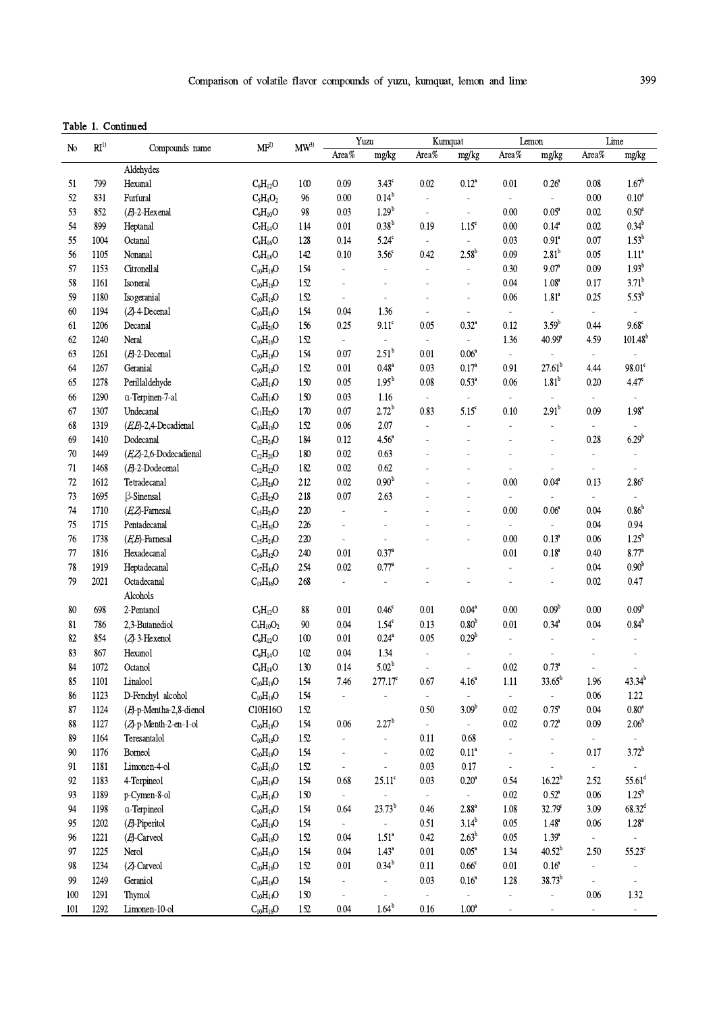## Table 1. Continued

| N <sub>o</sub> | RI <sup>1</sup> | Compounds name          | MF <sup>2</sup>     | $\text{MW}^3$ | Yuzu                     |                     | Kumquat                  |                          | Lemon                    |                              | Lime                     |                          |
|----------------|-----------------|-------------------------|---------------------|---------------|--------------------------|---------------------|--------------------------|--------------------------|--------------------------|------------------------------|--------------------------|--------------------------|
|                |                 |                         |                     |               | Area%                    | mg/kg               | Area%                    | mg/kg                    | Area%                    | mg/kg                        | Area%                    | mg/kg                    |
|                |                 | Aldehydes               |                     |               |                          |                     |                          |                          |                          |                              |                          |                          |
| 51             | 799             | Hexanal                 | $C_6H_{12}O$        | 100           | 0.09                     | $3.43^c$            | 0.02                     | $0.12^{a}$               | 0.01                     | $0.26^{\circ}$               | 0.08                     | $1.67^{\rm b}$           |
| 52             | 831             | Furfural                | $C_5H_4O_2$         | 96            | 0.00                     | $0.14^{b}$          | $\blacksquare$           | $\overline{\phantom{a}}$ | $\sim$                   | $\overline{\phantom{a}}$     | 0.00                     | $0.10^a$                 |
| 53             | 852             | $(E)$ -2-Hexenal        | $C_6H_{10}O$        | 98            | 0.03                     | 1.29 <sup>b</sup>   | $\blacksquare$           | ÷,                       | 0.00                     | $0.05^{\rm a}$               | 0.02                     | $0.50^{\mathrm{a}}$      |
| 54             | 899             | Heptanal                | $C_7H_{14}O$        | 114           | 0.01                     | $0.38^{b}$          | 0.19                     | $1.15^\circ$             | 0.00                     | $0.14^{a}$                   | 0.02                     | $0.34^{b}$               |
| 55             | 1004            | Octanal                 | $C_8H_{16}O$        | 128           | 0.14                     | $5.24^c$            | $\blacksquare$           | $\Box$                   | 0.03                     | $0.91$ <sup>a</sup>          | 0.07                     | $1.53^{b}$               |
| 56             | 1105            | Nonanal                 | $C_9H_{18}O$        | 142           | 0.10                     | $3.56^{\circ}$      | 0.42                     | $2.58^{b}$               | 0.09                     | 2.81 <sup>b</sup>            | 0.05                     | 1.11 <sup>a</sup>        |
| 57             | 1153            | Citronellal             | $C_{10}H_{18}O$     | 154           | $\Box$                   | $\Box$              | $\blacksquare$           | $\Box$                   | 0.30                     | 9.07 <sup>a</sup>            | 0.09                     | $1.93^{b}$               |
| 58             | 1161            | Isoneral                | $C_{10}H_{16}O$     | 152           |                          | $\overline{a}$      |                          | $\frac{1}{2}$            | 0.04                     | 1.08 <sup>a</sup>            | 0.17                     | $3.71^{b}$               |
| 59             | 1180            | Isogeranial             | $C_{10}H_{16}O$     | 152           | $\blacksquare$           | $\blacksquare$      | $\overline{\phantom{a}}$ | $\overline{\phantom{a}}$ | 0.06                     | 1.81 <sup>a</sup>            | 0.25                     | $5.53^{b}$               |
| 60             | 1194            | (ZJ-4-Decenal           | $C_{10}H_{18}O$     | 154           | 0.04                     | 1.36                | $\overline{\phantom{a}}$ | $\overline{\phantom{a}}$ | $\sim$                   | $\sim$                       | $\overline{\phantom{a}}$ | $\overline{\phantom{a}}$ |
| 61             | 1206            | Decanal                 | $C_{10}H_{20}O$     | 156           | 0.25                     | $9.11^{\circ}$      | 0.05                     | $0.32^{a}$               | 0.12                     | $3.59^{b}$                   | 0.44                     | $9.68^{\circ}$           |
| 62             | 1240            | Neral                   | $C_{10}H_{16}O$     | 152           | $\blacksquare$           | $\bar{\phantom{a}}$ | $\overline{\phantom{a}}$ | $\blacksquare$           | 1.36                     | 40.99 <sup>a</sup>           | 4.59                     | $101.48^b$               |
| 63             | 1261            | $(E)$ -2-Decenal        | $C_{10}H_{18}O$     | 154           | 0.07                     | $2.51^{\rm b}$      | 0.01                     | 0.06 <sup>a</sup>        | $\omega$                 |                              | $\overline{\phantom{a}}$ | $\overline{\phantom{a}}$ |
| 64             | 1267            | Geranial                | $C_{10}H_{16}O$     | 152           | 0.01                     | $0.48^{a}$          | 0.03                     | 0.17 <sup>a</sup>        | 0.91                     | $27.61^{b}$                  | 4.44                     | $98.01^{\circ}$          |
| 65             | 1278            | Perillaldehyde          | $C_{10}H_{14}O$     | 150           | 0.05                     | 1.95 <sup>b</sup>   | $0.08\,$                 | $0.53^{\mathrm{a}}$      | 0.06                     | 1.81 <sup>b</sup>            | 0.20                     | $4.47^{\circ}$           |
| 66             | 1290            | a-Terpinen-7-al         | $C_{10}H_{14}O$     | 150           | 0.03                     | 1.16                | $\blacksquare$           | $\blacksquare$           | $\sim$                   | $\blacksquare$               | $\overline{\phantom{a}}$ | $\overline{\phantom{a}}$ |
| 67             | 1307            | Undecanal               | $C_{11}H_{22}O$     | 170           | 0.07                     | $2.72^{b}$          | 0.83                     | $5.15^{\circ}$           | 0.10                     | 2.91 <sup>b</sup>            | 0.09                     | $1.98^{\mathrm{a}}$      |
| 68             | 1319            | $(E,E)$ -2,4-Decadienal | $C_{10}H_{16}O$     | 152           | 0.06                     | 2.07                | $\overline{\phantom{a}}$ | $\overline{a}$           | $\overline{a}$           | $\qquad \qquad \blacksquare$ | $\overline{\phantom{a}}$ | $\overline{\phantom{a}}$ |
| 69             | 1410            | Dodecanal               | $C_{12}H_{24}O$     | 184           | 0.12                     | $4.56^{\circ}$      |                          | $\overline{a}$           | L,                       |                              | 0.28                     | $6.29^{b}$               |
| 70             | 1449            | (EZ-2,6-Dodecadienal    | $C_{12}H_{20}O$     | 180           | 0.02                     | 0.63                |                          | L,                       |                          |                              | $\overline{\phantom{a}}$ | $\sim$                   |
|                | 1468            | $(E)$ -2-Dodecenal      | $C_{12}H_{22}O$     | 182           | 0.02                     | 0.62                |                          | $\overline{a}$           |                          |                              |                          |                          |
| 71             |                 |                         |                     |               |                          | $0.90^{\rm b}$      |                          |                          |                          |                              | $\overline{\phantom{a}}$ |                          |
| 72             | 1612            | Tetradecanal            | $C_{14}H_{28}O$     | 212           | 0.02                     |                     |                          | L,                       | 0.00                     | $0.04^a$                     | 0.13                     | $2.86^{\circ}$           |
| 73             | 1695            | <b>ß-Sinensal</b>       | $C_{15}H_{22}O$     | 218           | 0.07                     | 2.63                |                          | $\frac{1}{2}$            | $\overline{\phantom{a}}$ |                              | $\overline{\phantom{a}}$ | $\overline{\phantom{a}}$ |
| 74             | 1710            | $(E, Z)$ -Farnesal      | $C_{15}H_{24}O$     | 220           | $\overline{\phantom{a}}$ | $\overline{a}$      |                          | ÷,                       | $0.00\,$                 | $0.06^a$                     | 0.04                     | 0.86 <sup>b</sup>        |
| 75             | 1715            | Pentadecanal            | $C_{15}H_{30}O$     | 226           | $\overline{a}$           | $\overline{a}$      |                          | $\overline{a}$           | $\blacksquare$           | $\overline{a}$               | 0.04                     | 0.94                     |
| 76             | 1738            | (E,E)-Farnesal          | $C_{15}H_{24}O$     | 220           | $\overline{\phantom{a}}$ | ä,                  |                          | L.                       | $0.00\,$                 | $0.13^{a}$                   | 0.06                     | $1.25^{\rm b}$           |
| $77\,$         | 1816            | Hexadecanal             | $C_{16}H_{32}O$     | 240           | 0.01                     | $0.37^{a}$          |                          |                          | 0.01                     | $0.18^{a}$                   | 0.40                     | $8.77^{\circ}$           |
| 78             | 1919            | Heptadecanal            | $C_{17}H_{34}O$     | 254           | 0.02                     | $0.77^{\circ}$      |                          | ä,                       | $\sim$                   | $\blacksquare$               | 0.04                     | 0.90 <sup>b</sup>        |
| 79             | 2021            | Octadecanal             | $C_{18}H_{36}O$     | 268           | $\overline{a}$           | $\blacksquare$      |                          |                          | Ĭ.                       | $\frac{1}{2}$                | 0.02                     | 0.47                     |
|                |                 | Alcohols                |                     |               |                          |                     |                          |                          |                          |                              |                          |                          |
| 80             | 698             | 2-Pentanol              | $C_5H_{12}O$        | 88            | 0.01                     | $0.46^\circ$        | $0.01\,$                 | 0.04 <sup>a</sup>        | 0.00                     | 0.09 <sup>b</sup>            | 0.00                     | 0.09 <sup>b</sup>        |
| 81             | 786             | 2,3-Butanediol          | $C_4H_{10}O_2$      | 90            | 0.04                     | $1.54^c$            | 0.13                     | 0.80 <sup>b</sup>        | 0.01                     | $0.34^{\mathrm{a}}$          | 0.04                     | $0.84^{\rm b}$           |
| 82             | 854             | $(Z$ -3-Hexenol         | $C_6H_{12}O$        | 100           | 0.01                     | $0.24^\mathrm{a}$   | 0.05                     | $0.29^b$                 | $\overline{\phantom{a}}$ | $\overline{\phantom{a}}$     | $\overline{\phantom{a}}$ | $\overline{\phantom{a}}$ |
| 83             | 867             | Hexanol                 | $C_6H_{14}O$        | 102           | 0.04                     | 1.34                | ä,                       | $\overline{a}$           | ÷,                       |                              |                          |                          |
| 84             | 1072            | Octanol                 | $C_8H_{18}O$        | 130           | 0.14                     | $5.02^{b}$          | $\overline{a}$           | $\frac{1}{2}$            | 0.02                     | $0.73^a$                     | $\overline{a}$           | $\overline{a}$           |
| 85             | 1101            | Linalool                | $\rm C_{10}H_{18}O$ | 154           | 7.46                     | $277.17^{\circ}$    | 0.67                     | 4.16 <sup>a</sup>        | $1.11\,$                 | $33.65^b$                    | 1.96                     | $43.34^{b}$              |
| 86             | 1123            | D-Fenchyl alcohol       | $\rm C_{10}H_{18}O$ | 154           |                          |                     | $\overline{\phantom{a}}$ | $\overline{\phantom{a}}$ | $\bar{\phantom{a}}$      |                              | $0.06\,$                 | $1.22\,$                 |
| 87             | 1124            | (E)-p-Mentha-2,8-dienol | C10H16O             | 152           |                          |                     | $0.50\,$                 | $3.09^{b}$               | 0.02                     | $0.75^{\circ}$               | 0.04                     | $0.80^{\rm a}$           |
| 88             | 1127            | (ZJ-p-Menth-2-en-1-ol   | $C_{10}H_{18}O$     | 154           | 0.06                     | $2.27^b$            | $\overline{\phantom{a}}$ | $\blacksquare$           | $0.02\,$                 | $0.72^{\circ}$               | 0.09                     | 2.06 <sup>b</sup>        |
| 89             | 1164            | Teresantalol            | $\rm C_{10}H_{16}O$ | 152           | $\blacksquare$           | $\blacksquare$      | 0.11                     | 0.68                     | $\blacksquare$           |                              | $\overline{\phantom{a}}$ |                          |
| 90             | 1176            | Borneol                 | $\rm C_{10}H_{18}O$ | 154           |                          | $\overline{a}$      | $0.02\,$                 | 0.11 <sup>a</sup>        | $\overline{a}$           | $\overline{a}$               | 0.17                     | $3.72^{b}$               |
| 91             | 1181            | Limonen-4-ol            | $\rm C_{10}H_{16}O$ | 152           | $\overline{\phantom{a}}$ | $\overline{a}$      | 0.03                     | 0.17                     | $\sim$                   | ÷,                           | ÷.                       |                          |
| 92             | 1183            | 4-Terpineol             | $\rm C_{10}H_{18}O$ | 154           | 0.68                     | $25.11^{\circ}$     | $0.03\,$                 | $0.20^{\rm a}$           | 0.54                     | $16.22^{b}$                  | 2.52                     | $55.61^d$                |
| 93             | 1189            | p-Cymen-8-ol            | $C_{10}H_{14}O$     | 150           | $\blacksquare$           | $\Box$              | $\blacksquare$           | $\blacksquare$           | 0.02                     | $0.52^{\circ}$               | 0.06                     | $1.25^{\rm b}$           |
| 94             | 1198            | a-Terpineol             | $\rm C_{10}H_{18}O$ | 154           | 0.64                     | $23.73^b$           | 0.46                     | $2.88$ <sup>a</sup>      | 1.08                     | $32.79^{\circ}$              | 3.09                     | $68.32^d$                |
| 95             | 1202            | (E)-Piperitol           | $C_{10}H_{18}O$     | 154           | $\sim$                   | $\blacksquare$      | 0.51                     | $3.14^{b}$               | 0.05                     | $1.48^{a}$                   | 0.06                     | $1.28^{\text{a}}$        |
| 96             | 1221            | (E)-Carveol             | $C_{10}H_{16}O$     | 152           | 0.04                     | 1.51 <sup>a</sup>   | 0.42                     | $2.63^b$                 | 0.05                     | $1.39^{a}$                   | $\overline{\phantom{a}}$ |                          |
| 97             | 1225            | Nerol                   | $C_{10}H_{18}O$     | 154           | 0.04                     | $1.43^a$            | $0.01\,$                 | $0.05^{\mathrm{a}}$      | 1.34                     | $40.52^{\rm b}$              | 2.50                     | $55.23^\circ$            |
| 98             | 1234            | (ZJ-Carveol             | $C_{10}H_{16}O$     | 152           | 0.01                     | $0.34^{b}$          | 0.11                     | $0.66^{\circ}$           | 0.01                     | $0.16^{a}$                   | $\frac{1}{2}$            |                          |
| 99             | 1249            | Geraniol                | $C_{10}H_{18}O$     | 154           |                          | ÷,                  | 0.03                     | $0.16^{a}$               | 1.28                     | $38.73^{b}$                  | ÷,                       | ÷,                       |
| 100            | 1291            | Thymol                  | $\rm C_{10}H_{14}O$ | 150           |                          | $\overline{a}$      | $\overline{\phantom{a}}$ | $\blacksquare$           | $\overline{a}$           | $\frac{1}{2}$                | $0.06\,$                 | 1.32                     |
| 101            | 1292            | Limonen-10-ol           | $C_{10}H_{16}O$     | 152           | $0.04\,$                 | $1.64^{\rm b}$      | 0.16                     | 1.00 <sup>a</sup>        |                          | ٠                            | $\overline{\phantom{a}}$ | $\overline{\phantom{a}}$ |
|                |                 |                         |                     |               |                          |                     |                          |                          |                          |                              |                          |                          |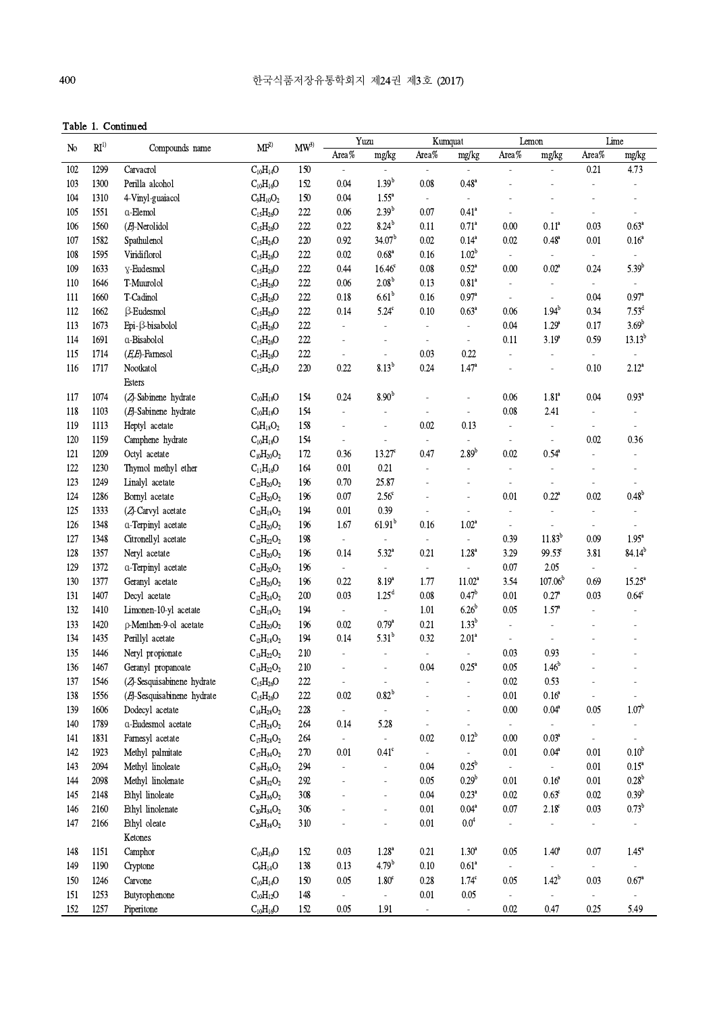Table 1. Continued

|                |                 | Communi                    |                                              |        |                          | Yuzu                     |                          | Kumquat                     |                          | Lemon                    |                          | Lime                     |
|----------------|-----------------|----------------------------|----------------------------------------------|--------|--------------------------|--------------------------|--------------------------|-----------------------------|--------------------------|--------------------------|--------------------------|--------------------------|
| N <sub>0</sub> | RI <sup>1</sup> | Compounds name             | $\text{MF}^{2)}$                             | $MW^3$ | Area%                    | mg/kg                    | Area%                    | mg/kg                       | Area $\%$                | mg/kg                    | Area%                    | mg/kg                    |
| 102            | 1299            | Carvacrol                  | $\rm C_{10}H_{14}O$                          | 150    |                          |                          | $\overline{\phantom{a}}$ | $\blacksquare$              |                          | $\Box$                   | 0.21                     | 4.73                     |
| 103            | 1300            | Perilla alcohol            | $C_{10}H_{16}O$                              | 152    | 0.04                     | $1.39^{b}$               | 0.08                     | $0.48$ <sup>a</sup>         |                          |                          |                          |                          |
| 104            | 1310            | 4-Vinyl-guaiacol           | $C_9H_{10}O_2$                               | 150    | 0.04                     | $1.55^{\circ}$           | $\overline{\phantom{a}}$ | $\overline{\phantom{a}}$    |                          |                          |                          |                          |
| 105            | 1551            | a-Elemol                   | $C_{15}H_{26}O$                              | 222    | 0.06                     | $2.39^{b}$               | 0.07                     | $0.41$ <sup>a</sup>         | $\sim$                   | $\overline{\phantom{a}}$ | $\overline{\phantom{a}}$ | $\sim$                   |
| 106            | 1560            | $(E)$ -Nerolidol           | $C_{15}H_{26}O$                              | 222    | 0.22                     | $8.24^{b}$               | 0.11                     | $0.71^a$                    | 0.00                     | $0.11^{a}$               | 0.03                     | $0.63^a$                 |
| 107            | 1582            | Spathulenol                | $C_{15}H_{24}O$                              | 220    | 0.92                     | 34.07 <sup>b</sup>       | 0.02                     | $0.14^{a}$                  | 0.02                     | $0.48^{\circ}$           | 0.01                     | 0.16 <sup>a</sup>        |
| 108            | 1595            | Viridiflorol               | $C_{15}H_{26}O$                              | 222    | 0.02                     | $0.68^{a}$               | 0.16                     | 1.02 <sup>b</sup>           | $\sim$                   | $\omega$                 | $\blacksquare$           |                          |
| 109            | 1633            | y-Eudesmol                 | $C_{15}H_{26}O$                              | 222    | 0.44                     | 16.46 <sup>c</sup>       | 0.08                     | $0.52^{\circ}$              | 0.00                     | 0.02 <sup>a</sup>        | 0.24                     | $5.39^{b}$               |
| 110            | 1646            | T-Muurolol                 | $C_{15}H_{26}O$                              | 222    | 0.06                     | 2.08 <sup>b</sup>        | 0.13                     | $0.81$ <sup>a</sup>         | $\blacksquare$           | $\blacksquare$           | $\overline{\phantom{a}}$ | $\overline{\phantom{a}}$ |
| 111            | 1660            | T-Cadinol                  | $C_{15}H_{26}O$                              | 222    | 0.18                     | 6.61 <sup>b</sup>        | 0.16                     | $0.97$ <sup>a</sup>         | $\overline{\phantom{a}}$ | $\blacksquare$           | 0.04                     | $0.97$ <sup>a</sup>      |
| 112            | 1662            | <b>B-Eudesmol</b>          | $C_{15}H_{26}O$                              | 222    | 0.14                     | $5.24^c$                 | 0.10                     | $0.63^a$                    | 0.06                     | $1.94^{b}$               | 0.34                     | $7.53^{\rm d}$           |
| 113            | 1673            | Epi-ß-bisabolol            | $C_{15}H_{26}O$                              | 222    | $\blacksquare$           | $\blacksquare$           | $\blacksquare$           | $\overline{\phantom{a}}$    | 0.04                     | 1.29 <sup>a</sup>        | 0.17                     | $3.69^{b}$               |
| 114            | 1691            | a-Bisabolol                | $C_{15}H_{26}O$                              | 222    |                          | $\sim$                   |                          | $\overline{\phantom{a}}$    | 0.11                     | $3.19^{a}$               | 0.59                     | $13.13^{b}$              |
| 115            | 1714            | $(E,E)$ -Farnesol          | $C_{15}H_{26}O$                              | 222    |                          |                          | 0.03                     | 0.22                        |                          |                          |                          |                          |
| 116            | 1717            | Nootkatol                  | $C_{15}H_{24}O$                              | 220    | 0.22                     | $8.13^{b}$               | 0.24                     | 1.47 <sup>a</sup>           |                          |                          | 0.10                     | $2.12^{a}$               |
|                |                 | Esters                     |                                              |        |                          |                          |                          |                             |                          |                          |                          |                          |
| 117            | 1074            | (ZJ-Sabinene hydrate       | $C_{10}H_{18}O$                              | 154    | 0.24                     | 8.90 <sup>b</sup>        |                          | $\overline{a}$              | 0.06                     | 1.81 <sup>a</sup>        | 0.04                     | $0.93^{\mathrm{a}}$      |
| 118            | 1103            | $(E)$ -Sabinene hydrate    | $\rm C_{10}H_{18}O$                          | 154    | $\overline{a}$           |                          |                          | $\overline{\phantom{a}}$    | 0.08                     | 2.41                     | $\overline{a}$           |                          |
| 119            | 1113            | Heptyl acetate             | $C_9H_{18}O_2$                               | 158    | $\overline{a}$           | $\sim$                   | 0.02                     | 0.13                        | $\blacksquare$           | $\blacksquare$           | $\overline{a}$           | $\overline{\phantom{a}}$ |
| 120            | 1159            | Camphene hydrate           | $\rm C_{10}H_{18}O$                          | 154    | $\blacksquare$           | $\blacksquare$           | $\overline{\phantom{a}}$ | $\sim$                      | $\overline{\phantom{a}}$ | $\blacksquare$           | 0.02                     | 0.36                     |
| 121            | 1209            | Octyl acetate              | $C_{10}H_{20}O_2$                            | 172    | 0.36                     | $13.27$ <sup>c</sup>     | 0.47                     | $2.89^{b}$                  | $0.02\,$                 | $0.54^{\circ}$           | $\overline{a}$           |                          |
| 122            | 1230            | Thymol methyl ether        | $\rm C_{11}H_{16}O$                          | 164    | 0.01                     | $0.21\,$                 | $\overline{\phantom{a}}$ | $\bar{a}$                   | $\overline{\phantom{a}}$ | $\overline{\phantom{a}}$ |                          |                          |
| 123            | 1249            | Linalyl acetate            | $C_{12}H_{20}O_2$                            | 196    | 0.70                     | 25.87                    |                          |                             | ÷,                       |                          | L,                       |                          |
| 124            | 1286            | Bornyl acetate             | $C_{12}H_{20}O_2$                            | 196    | 0.07                     | $2.56^{\circ}$           |                          | ÷,                          | 0.01                     | $0.22^{\rm a}$           | 0.02                     | $0.48^{b}$               |
| 125            | 1333            | (ZJ-Carvyl acetate         | $C_{12}H_{18}O_2$                            | 194    | $0.01\,$                 | 0.39                     |                          | $\overline{\phantom{a}}$    | $\blacksquare$           | $\blacksquare$           |                          |                          |
| 126            | 1348            | a-Terpinyl acetate         | $C_{12}H_{20}O_2$                            | 196    | 1.67                     | $61.91^{b}$              | 0.16                     | 1.02 <sup>a</sup>           | $\overline{\phantom{a}}$ | $\overline{\phantom{a}}$ | $\overline{a}$           | $\blacksquare$           |
| 127            | 1348            | Citronellyl acetate        | $C_{12}H_{22}O_2$                            | 198    | $\omega$                 | $\omega$                 | $\blacksquare$           | $\sim$                      | 0.39                     | $11.83^{b}$              | 0.09                     | $1.95^a$                 |
| 128            | 1357            | Neryl acetate              | $C_{12}H_{20}O_2$                            | 196    | 0.14                     | $5.32^{a}$               | 0.21                     | $1.28^{a}$                  | 3.29                     | $99.53^\circ$            | 3.81                     | $84.14^{b}$              |
| 129            | 1372            | a-Terpinyl acetate         | $C_{12}H_{20}O_2$                            | 196    | $\overline{\phantom{a}}$ | $\blacksquare$           | $\overline{\phantom{a}}$ | $\mathcal{L}_{\mathcal{A}}$ | 0.07                     | 2.05                     | $\overline{\phantom{a}}$ | $\overline{\phantom{a}}$ |
| 130            | 1377            | Geranyl acetate            | $C_{12}H_{20}O_2$                            | 196    | 0.22                     | $8.19^{a}$               | 1.77                     | $11.02^a$                   | 3.54                     | 107.06 <sup>b</sup>      | 0.69                     | $15.25^{\circ}$          |
| 131            | 1407            | Decyl acetate              | $C_{12}H_{24}O_2$                            | 200    | 0.03                     | 1.25 <sup>d</sup>        | 0.08                     | 0.47 <sup>b</sup>           | 0.01                     | $0.27^{\rm a}$           | 0.03                     | $0.64^{\circ}$           |
| 132            | 1410            | Limonen-10-yl acetate      | $C_{12}H_{18}O_2$                            | 194    | $\overline{\phantom{a}}$ | $\overline{\phantom{a}}$ | 1.01                     | 6.26 <sup>b</sup>           | 0.05                     | $1.57^{\circ}$           |                          |                          |
| 133            | 1420            | p-Menthen-9-ol acetate     | $C_{12}H_{20}O_2$                            | 196    | 0.02                     | $0.79^{a}$               | 0.21                     | $1.33^{b}$                  |                          | $\overline{\phantom{a}}$ |                          |                          |
| 134            | 1435            | Perillyl acetate           | $C_{12}H_{18}O_2$                            | 194    | 0.14                     | $5.31^{b}$               | 0.32                     | 2.01 <sup>a</sup>           | $\overline{\phantom{a}}$ | $\overline{\phantom{a}}$ |                          |                          |
| 135            | 1446            | Neryl propionate           | $C_{13}H_{22}O_2$                            | 210    | $\blacksquare$           | $\overline{\phantom{a}}$ | $\overline{\phantom{a}}$ | $\overline{\phantom{a}}$    | 0.03                     | 0.93                     |                          |                          |
| 136            | 1467            | Geranyl propanoate         | $\mathrm{C}_{13}\mathrm{H}_{22}\mathrm{O}_2$ | 210    |                          |                          | 0.04                     | $0.25^a$                    | $0.05\,$                 | $1.46^{b}$               |                          |                          |
| 137            | 1546            | (ZJ-Sesquisabinene hydrate | $C_{15}H_{26}O$                              | 222    | $\blacksquare$           | $\overline{\phantom{a}}$ |                          | ÷,                          | $0.02\,$                 | 0.53                     |                          |                          |
| 138            | 1556            | (E)-Sesquisabinene hydrate | $\rm{C_{15}H_{26}O}$                         | 222    | $0.02\,$                 | $0.82^{b}$               |                          |                             | 0.01                     | 0.16 <sup>a</sup>        |                          | $\overline{\phantom{a}}$ |
| 139            | 1606            | Dodecyl acetate            | $C_{14}H_{28}O_2$                            | 228    | $\sim$                   |                          |                          | $\blacksquare$              | $0.00\,$                 | $0.04^{\mathrm{a}}$      | 0.05                     | 1.07 <sup>b</sup>        |
| 140            | 1789            | a-Eudesmol acetate         | $C_{17}H_{28}O_2$                            | 264    | 0.14                     | 5.28                     |                          | $\overline{\phantom{a}}$    | $\sim$                   | $\sim$                   |                          |                          |
| 141            | 1831            | Farnesyl acetate           | $C_{17}H_{28}O_2$                            | 264    | $\overline{\phantom{a}}$ | $\omega$                 | 0.02                     | $0.12^{b}$                  | 0.00                     | 0.03 <sup>a</sup>        | $\overline{\phantom{a}}$ | $\blacksquare$           |
| 142            | 1923            | Methyl palmitate           | $C_{17}H_{34}O_2$                            | 270    | 0.01                     | $0.41^{\circ}$           | $\overline{\phantom{a}}$ |                             | 0.01                     | $0.04^{\circ}$           | 0.01                     | 0.10 <sup>b</sup>        |
| 143            | 2094            | Methyl linoleate           | $C_{19}H_{34}O_2$                            | 294    |                          |                          | 0.04                     | 0.25 <sup>b</sup>           | $\sim$                   | $\sim$                   | $0.01\,$                 | $0.15^a$                 |
| 144            | 2098            | Methyl linolenate          | $C_{19}H_{32}O_2$                            | 292    |                          |                          | 0.05                     | $0.29^b$                    | 0.01                     | $0.16^{\rm a}$           | 0.01                     | $0.28^{b}$               |
| 145            | 2148            | Ethyl linoleate            | $C_{20}H_{36}O_2$                            | 308    |                          |                          | 0.04                     | $0.23$ <sup>a</sup>         | $0.02\,$                 | $0.63^{\circ}$           | $0.02\,$                 | 0.39 <sup>b</sup>        |
| 146            | 2160            | Ethyl linolenate           | $C_{20}H_{34}O_2$                            | 306    |                          |                          | 0.01                     | $0.04^{a}$                  | $0.07\,$                 | $2.18^{\circ}$           | 0.03                     | $0.73^b$                 |
| 147            | 2166            | Ethyl oleate               | $C_{20}H_{38}O_2$                            | 310    |                          |                          | $0.01\,$                 | $0.0^{4}$                   |                          |                          |                          |                          |
|                |                 | Ketones                    |                                              |        |                          |                          |                          |                             |                          |                          |                          |                          |
| 148            | 1151            | Camphor                    | $C_{10}H_{16}O$                              | 152    | 0.03                     | $1.28^{\rm a}$           | 0.21                     | $1.30^{a}$                  | 0.05                     | $1.40^{\circ}$           | 0.07                     | $1.45^{\circ}$           |
| 149            | 1190            | Cryptone                   | $C_9H_{14}O$                                 | 138    | 0.13                     | $4.79^{b}$               | 0.10                     | 0.61 <sup>a</sup>           |                          |                          |                          |                          |
| 150            | 1246            | Carvone                    | $\rm C_{10}H_{14}O$                          | 150    | 0.05                     | $1.80^\circ$             | $0.28\,$                 | $1.74^\circ$                | 0.05                     | $1.42^{b}$               | 0.03                     | $0.67$ <sup>a</sup>      |
| 151            | 1253            | Butyrophenone              | $\rm C_{10}H_{12}O$                          | 148    |                          | $\blacksquare$           | $0.01\,$                 | $0.05\,$                    | $\blacksquare$           |                          |                          | $\overline{\phantom{a}}$ |
| 152            | 1257            | Piperitone                 | $C_{10}H_{16}O$                              | 152    | 0.05                     | 1.91                     |                          | $\blacksquare$              | 0.02                     | 0.47                     | 0.25                     | 5.49                     |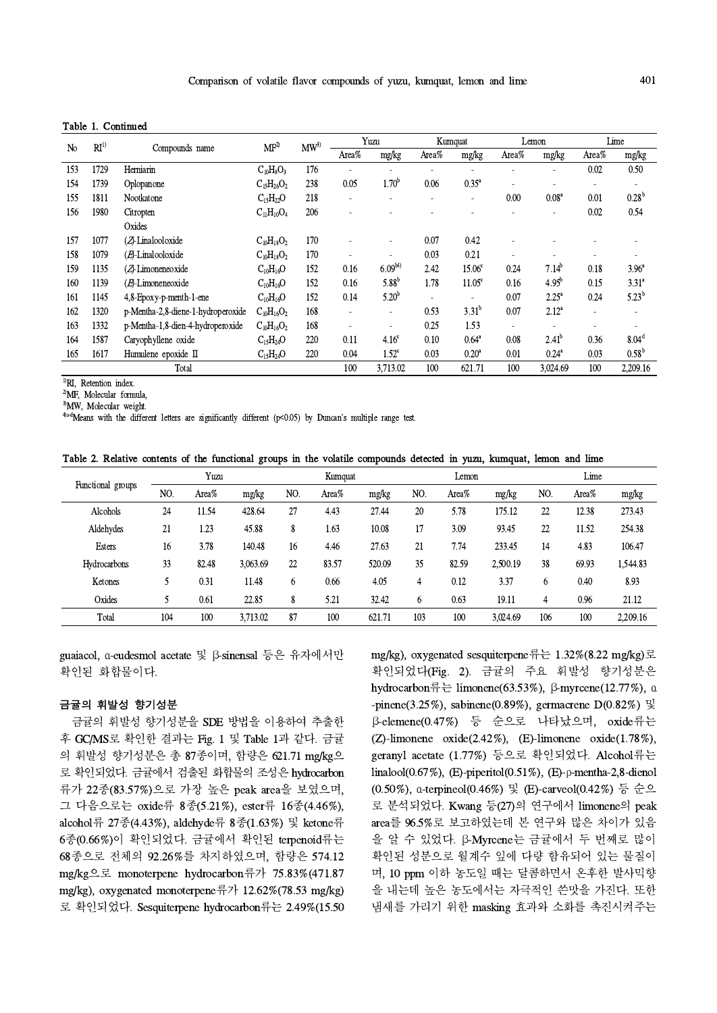| Table 1. Continued |  |
|--------------------|--|
|--------------------|--|

| N <sub>0</sub> | RI <sup>1</sup> |                                    | MF <sup>2</sup>   | $MW^{3}$ |                          | Yuzu                     | Kumquat        |                    |                | Lemon             | Lime                     |                   |
|----------------|-----------------|------------------------------------|-------------------|----------|--------------------------|--------------------------|----------------|--------------------|----------------|-------------------|--------------------------|-------------------|
|                |                 | Compounds name                     |                   |          | Area%                    | mg/kg                    | Area $%$       | mg/kg              | Area%          | mg/kg             | Area%                    | mg/kg             |
| 153            | 1729            | Herniarin                          | $C_{10}H_8O_3$    | 176      |                          |                          |                |                    |                |                   | 0.02                     | 0.50              |
| 154            | 1739            | Oplopanone                         | $C_{15}H_{26}O_2$ | 238      | 0.05                     | $1.70^b$                 | 0.06           | $0.35^{\circ}$     | $\overline{a}$ |                   | $\overline{\phantom{a}}$ |                   |
| 155            | 1811            | Nootkatone                         | $C_{15}H_{22}O$   | 218      | $\blacksquare$           | $\overline{\phantom{a}}$ | $\blacksquare$ | ۰                  | 0.00           | 0.08 <sup>a</sup> | 0.01                     | $0.28^{b}$        |
| 156            | 1980            | Citropten                          | $C_{11}H_{10}O_4$ | 206      | $\overline{\phantom{a}}$ |                          |                |                    |                |                   | 0.02                     | 0.54              |
|                |                 | Oxides                             |                   |          |                          |                          |                |                    |                |                   |                          |                   |
| 157            | 1077            | (ZJ-Linalooloxide                  | $C_{10}H_{18}O_2$ | 170      | $\overline{\phantom{a}}$ | ٠                        | 0.07           | 0.42               |                |                   |                          |                   |
| 158            | 1079            | $(E)$ -Linalooloxide               | $C_{10}H_{18}O_2$ | 170      |                          |                          | 0.03           | 0.21               |                |                   |                          |                   |
| 159            | 1135            | $(Z$ -Limoneneoxide                | $C_{10}H_{16}O$   | 152      | 0.16                     | $6.09^{b4}$              | 2.42           | 15.06 <sup>c</sup> | 0.24           | $7.14^{b}$        | 0.18                     | $3.96^{\circ}$    |
| 160            | 1139            | $(E)$ -Limoneneoxide               | $C_{10}H_{16}O$   | 152      | 0.16                     | $5.88^{b}$               | 1.78           | 11.05 <sup>c</sup> | 0.16           | 4.95 <sup>b</sup> | 0.15                     | $3.31^a$          |
| 161            | 1145            | 4,8-Epoxy-p-menth-1-ene            | $C_{10}H_{16}O$   | 152      | 0.14                     | $5.20^{b}$               |                |                    | 0.07           | $2.25^{\circ}$    | 0.24                     | $5.23^{b}$        |
| 162            | 1320            | p-Mentha-2,8-diene-1-hydroperoxide | $C_{10}H_{16}O_2$ | 168      | $\overline{\phantom{a}}$ | $\overline{\phantom{a}}$ | 0.53           | $3.31^{b}$         | 0.07           | $2.12^{a}$        | $\overline{a}$           |                   |
| 163            | 1332            | p-Mentha-1,8-dien-4-hydroperoxide  | $C_{10}H_{16}O_2$ | 168      | $\overline{\phantom{a}}$ |                          | 0.25           | 1.53               | ٠              |                   |                          |                   |
| 164            | 1587            | Caryophyllene oxide                | $C_{15}H_{24}O$   | 220      | 0.11                     | 4.16 <sup>c</sup>        | 0.10           | $0.64^{\circ}$     | 0.08           | $2.41^{b}$        | 0.36                     | 8.04 <sup>d</sup> |
| 165            | 1617            | Humulene epoxide II                | $C_{15}H_{24}O$   | 220      | 0.04                     | $1.52^{\circ}$           | 0.03           | 0.20 <sup>a</sup>  | 0.01           | $0.24^{\circ}$    | 0.03                     | $0.58^{\rm b}$    |
|                |                 | Total                              |                   |          | 100                      | 3,713.02                 | 100            | 621.71             | 100            | 3,024.69          | 100                      | 2,209.16          |

<sup>1)</sup>RI, Retention index.

<sup>2)</sup>MF, Molecular formula,

<sup>3</sup>MW, Molecular weight.

<sup>4)a-d</sup>Means with the different letters are significantly different (p<0.05) by Duncan's multiple range test.

| Table 2. Relative contents of the functional groups in the volatile compounds detected in yuzu, kumquat, lemon and lime |  |  |  |  |  |  |  |
|-------------------------------------------------------------------------------------------------------------------------|--|--|--|--|--|--|--|
|-------------------------------------------------------------------------------------------------------------------------|--|--|--|--|--|--|--|

|                     | Yuzu |       |          | Kumquat |       |        | Lemon |       | Lime     |     |       |          |
|---------------------|------|-------|----------|---------|-------|--------|-------|-------|----------|-----|-------|----------|
| Functional groups   | NO.  | Area% | mg/kg    | NO.     | Area% | mg/kg  | NO.   | Area% | mg/kg    | NO. | Area% | mg/kg    |
| Alcohols            | 24   | 11.54 | 428.64   | 27      | 4.43  | 27.44  | 20    | 5.78  | 175.12   | 22  | 12.38 | 273.43   |
| Aldehydes           | 21   | 1.23  | 45.88    | 8       | 1.63  | 10.08  | 17    | 3.09  | 93.45    | 22  | 11.52 | 254.38   |
| <b>Esters</b>       | 16   | 3.78  | 140.48   | 16      | 4.46  | 27.63  | 21    | 7.74  | 233.45   | 14  | 4.83  | 106.47   |
| <b>Hydrocarbons</b> | 33   | 82.48 | 3.063.69 | 22      | 83.57 | 520.09 | 35    | 82.59 | 2,500.19 | 38  | 69.93 | 1,544.83 |
| Ketones             |      | 0.31  | 11.48    | 6       | 0.66  | 4.05   | 4     | 0.12  | 3.37     | 6   | 0.40  | 8.93     |
| Oxides              |      | 0.61  | 22.85    | 8       | 5.21  | 32.42  | 6     | 0.63  | 19.11    | 4   | 0.96  | 21.12    |
| Total               | 104  | 100   | 3,713.02 | 87      | 100   | 621.71 | 103   | 100   | 3,024.69 | 106 | 100   | 2.209.16 |

guaiacol, α-eudesmol acetate 및 β-sinensal 등은 유자에서만 확인된 화합물이다.

#### 금귤의 휘발성 향기성분

금귤의 휘발성 향기성분을 SDE 방법을 이용하여 추출한 후 GC/MS로 확인한 결과는 Fig. 1 및 Table 1과 같다. 금귤 의 휘발성 향기성분은 총 87종이며, 함량은 621.71 mg/kg으 로 확인되었다. 금귤에서 검출된 화합물의 조성은 hydrocarbon 류가 22종(83.57%)으로 가장 높은 peak area을 보였으며, 그 다음으로는 oxide류 8종(5.21%), ester류 16종(4.46%), alcohol류 27종(4.43%), aldehyde류 8종(1.63%) 및 ketone류 6종(0.66%)이 확인되었다. 금귤에서 확인된 terpenoid류는 68종으로 전체의 92.26%를 차지하였으며, 함량은 574.12 mg/kg으로 monoterpene hydrocarbon류가 75.83%(471.87 mg/kg), oxygenated monoterpene류가 12.62%(78.53 mg/kg) 로 확인되었다. Sesquiterpene hydrocarbon류는 2.49%(15.50

mg/kg), oxygenated sesquiterpene류는 1.32%(8.22 mg/kg)로 확인되었다(Fig. 2). 금귤의 주요 휘발성 향기성분은 hydrocarbon  $\frac{25}{15}$  Limonene(63.53%), β-myrcene(12.77%), α -pinene(3.25%), sabinene(0.89%), germacrene  $D(0.82\%)$   $\mathbb{R}$ β-elemene(0.47%) 등 순으로 나타났으며, oxide류는 (Z)-limonene oxide $(2.42\%)$ , (E)-limonene oxide $(1.78\%)$ , geranyl acetate (1.77%) 등으로 확인되었다. Alcohol류는 linalool(0.67%), (E)-piperitol(0.51%), (E)-p-mentha-2,8-dienol (0.50%), α-terpineol(0.46%) 및 (E)-carveol(0.42%) 등 순으 로 분석되었다. Kwang 등(27)의 연구에서 limonene의 peak area를 96.5%로 보고하였는데 본 연구와 많은 차이가 있음 을 알 수 있었다. β-Myrcene는 금귤에서 두 번째로 많이 확인된 성분으로 월계수 잎에 다량 함유되어 있는 물질이 며, 10 ppm 이하 농도일 때는 달콤하면서 온후한 발사믹향 을 내는데 높은 농도에서는 자극적인 쓴맛을 가진다. 또한 냄새를 가리기 위한 masking 효과와 소화를 촉진시켜주는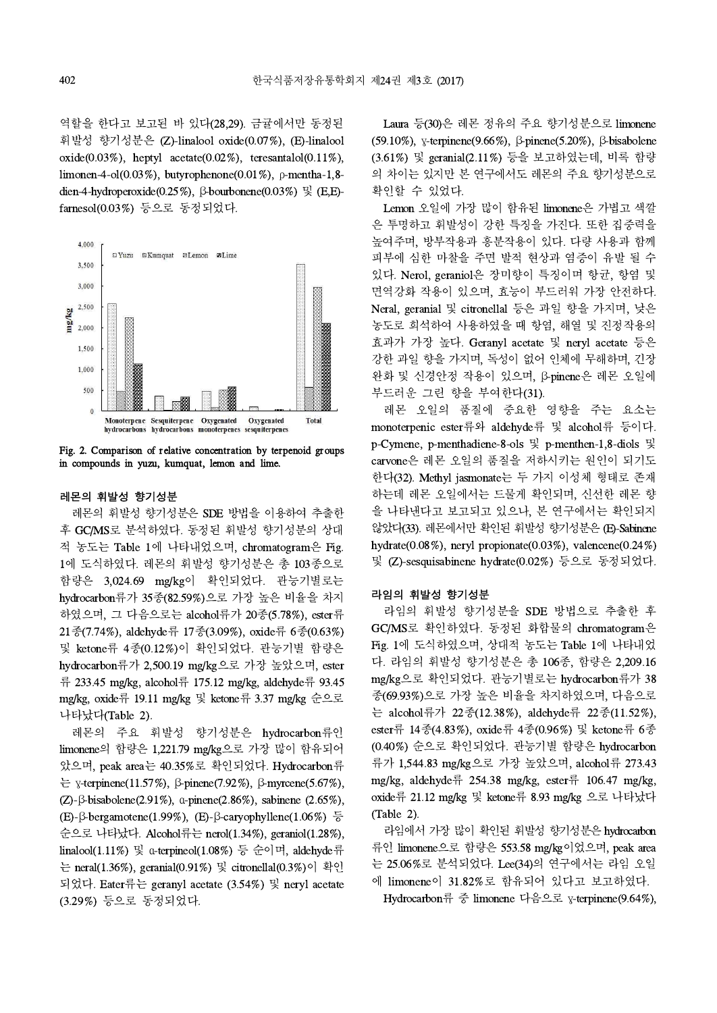역할을 한다고 보고된 바 있다(28,29). 금귤에서만 동정된 휘발성 향기성분은 (Z)-linalool oxide(0.07%), (E)-linalool oxide( $0.03\%$ ), heptyl acetate( $0.02\%$ ), teresantalol( $0.11\%$ ), limonen-4-ol(0.03%), butyrophenone(0.01%), ρ-mentha-1,8 dien-4-hydroperoxide(0.25%), β-bourbonene(0.03%) 및 (E,E) farnesol(0.03%) 등으로 동정되었다.



Fig. 2. Comparison of relative concentration by terpenoid groups in compounds in yuzu, kumquat, lemon and lime.

#### 레몬의 휘발성 향기성분

레몬의 휘발성 향기성분은 SDE 방법을 이용하여 추출한 후 GC/MS로 분석하였다. 동정된 휘발성 향기성분의 상대 적 농도는 Table 1에 나타내었으며, chromatogram은 Fig. 1에 도식하였다. 레몬의 휘발성 향기성분은 총 103종으로 함량은 3,024.69 mg/kg이 확인되었다. 관능기별로는 hydrocarbon류가 35종(82.59%)으로 가장 높은 비율을 차지 하였으며, 그 다음으로는 alcohol류가 20종(5.78%), ester류 21종(7.74%), aldehyde류 17종(3.09%),oxide류 6종(0.63%) 및 ketone류 4종(0.12%)이 확인되었다. 관능기별 함량은 hydrocarbon류가 2,500.19 mg/kg으로 가장 높았으며, ester 류 233.45 mg/kg, alcohol류 175.12 mg/kg, aldehyde류 93.45 mg/kg, oxide류 19.11 mg/kg 및 ketone류 3.37 mg/kg 순으로 나타났다(Table 2).

레몬의 주요 휘발성 향기성분은 hydrocarbon류인 limonene의 함량은 1,221.79 mg/kg으로 가장 많이 함유되어 았으며, peak area는 40.35%로 확인되었다. Hydrocarbon류 는 γ-terpinene(11.57%), β-pinene(7.92%), β-myrcene(5.67%), (Z)-β-bisabolene(2.91%), α-pinene(2.86%), sabinene (2.65%), (E)-β-bergamotene(1.99%), (E)-β-caryophyllene(1.06%) 등 순으로 나타났다. Alcohol류는 nerol(1.34%), geraniol(1.28%), linalool(1.11%) 및 α-terpineol(1.08%) 등 순이며, aldehyde류 는 neral(1.36%), geranial(0.91%) 및 citronellal(0.3%)이 확인 되었다. Eater류는 geranyl acetate (3.54%) 및 neryl acetate (3.29%) 등으로 동정되었다.

Laura 등(30)은 레몬 정유의 주요 향기성분으로 limonene (59.10%), γ-terpinene(9.66%), β-pinene(5.20%), β-bisabolene (3.61%) 및 geranial(2.11%) 등을 보고하였는데, 비록 함량 의 차이는 있지만 본 연구에서도 레몬의 주요 향기성분으로 확인할 수 있었다.

Lemon 오일에 가장 많이 함유된 limonene은 가볍고 색깔 은 투명하고 휘발성이 강한 특징을 가진다. 또한 집중력을 높여주며, 방부작용과 흥분작용이 있다. 다량 사용과 함께 피부에 심한 마찰을 주면 발적 현상과 염증이 유발 될 수 있다. Nerol, geraniol은 장미향이 특징이며 항균, 항염 및 면역강화 작용이 있으며, 효능이 부드러워 가장 안전하다. Neral, geranial 및 citronellal 등은 과일 향을 가지며, 낮은 농도로 희석하여 사용하였을 때 항염, 해열 및 진정작용의 효과가 가장 높다. Geranyl acetate 및 neryl acetate 등은 강한 과일 향을 가지며, 독성이 없어 인체에 무해하며, 긴장 완화 및 신경안정 작용이 있으며, β-pinene은 레몬 오일에 부드러운 그린 향을 부여한다(31).

레몬 오일의 품질에 중요한 영향을 주는 요소는 monoterpenic ester류와 aldehyde류 및 alcohol류 등이다. p-Cymene, p-menthadiene-8-ols 및 p-menthen-1,8-diols 및 carvone은 레몬 오일의 품질을 저하시키는 원인이 되기도 한다(32). Methyl jasmonate는 두 가지 이성체 형태로 존재 하는데 레몬 오일에서는 드물게 확인되며, 신선한 레몬 향 을 나타낸다고 보고되고 있으나, 본 연구에서는 확인되지 않았다(33). 레몬에서만 확인된 휘발성 향기성분은 (E)-Sabinene hydrate(0.08%), neryl propionate(0.03%), valencene(0.24%) 및 (Z)-sesquisabinene hydrate(0.02%) 등으로 동정되었다.

#### 라임의 휘발성 향기성분

라임의 휘발성 향기성분을 SDE 방법으로 추출한 후 GC/MS로 확인하였다. 동정된 화합물의 chromatogram은 Fig. 1에 도식하였으며, 상대적 농도는 Table 1에 나타내었 다. 라임의 휘발성 향기성분은 총 106종, 함량은 2,209.16 mg/kg으로 확인되었다. 관능기별로는 hydrocarbon류가 38 종(69.93%)으로 가장 높은 비율을 차지하였으며, 다음으로 는 alcohol류가 22종(12.38%), aldehyde류 22종(11.52%), ester류 14종(4.83%),oxide류 4종(0.96%)및 ketone류 6종 (0.40%) 순으로 확인되었다. 관능기별 함량은 hydrocarbon 류가 1,544.83 mg/kg으로 가장 높았으며, alcohol류 273.43 mg/kg, aldehyde류 254.38 mg/kg, ester류 106.47 mg/kg, oxide류 21.12 mg/kg 및 ketone류 8.93 mg/kg 으로 나타났다 (Table 2).

라임에서 가장 많이 확인된 휘발성 향기성분은 hydrocarbon 류인 limonene으로 함량은 553.58 mg/kg이었으며, peak area 는 25.06%로 분석되었다. Lee(34)의 연구에서는 라임 오일 에 limonene이 31.82%로 함유되어 있다고 보고하였다.

Hydrocarbon류 중 limonene 다음으로 γ-terpinene(9.64%),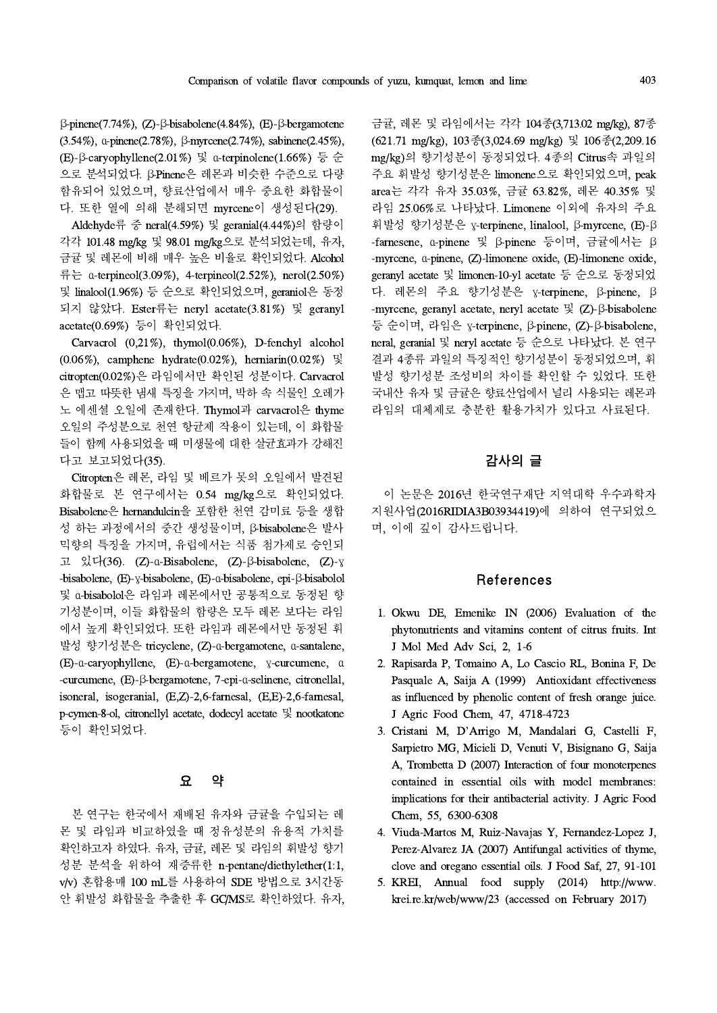β-pinene(7.74%), (Z)-β-bisabolene(4.84%), (E)-β-bergamotene (3.54%), α-pinene(2.78%), β-myrcene(2.74%), sabinene(2.45%), (E)-β-caryophyllene(2.01%) 및 α-terpinolene(1.66%) 등 순 으로 분석되었다. β-Pinene은 레몬과 비슷한 수준으로 다량 함유되어 있었으며, 향료산업에서 매우 중요한 화합물이 다. 또한 열에 의해 분해되면 myrcene이 생성된다(29).

Aldehyde류 중 neral(4.59%) 및 geranial(4.44%)의 함량이 각각 101.48 mg/kg 및 98.01 mg/kg으로 분석되었는데, 유자, 금귤 및 레몬에 비해 매우 높은 비율로 확인되었다. Alcohol 류는 α-terpineol(3.09%), 4-terpineol(2.52%), nerol(2.50%) 및 linalool(1.96%) 등 순으로 확인되었으며, geraniol은 동정 되지 않았다. Ester류는 neryl acetate(3.81%) 및 geranyl acetate(0.69%) 등이 확인되었다.

Carvacrol (0,21%), thymol(0.06%), D-fenchyl alcohol (0.06%), camphene hydrate(0.02%), herniarin(0.02%) 및 citropten(0.02%)은 라임에서만 확인된 성분이다. Carvacrol 은 맵고 따뜻한 냄새 특징을 가지며, 박하 속 식물인 오레가 노 에센셜 오일에 존재한다. Thymol과 carvacrol은 thyme 오일의 주성분으로 천연 항균제 작용이 있는데, 이 화합물 들이 함께 사용되었을 때 미생물에 대한 살균효과가 강해진 다고 보고되었다(35).

Citropten은 레몬, 라임 및 베르가 못의 오일에서 발견된 화합물로 본 연구에서는 0.54 mg/kg으로 확인되었다. Bisabolene은 hernandulcin을 포함한 천연 감미료 등을 생합 성 하는 과정에서의 중간 생성물이며, β-bisabolene은 발사 믹향의 특징을 가지며, 유럽에서는 식품 첨가제로 승인되 고 있다(36). (Z)-α-Bisabolene, (Z)-β-bisabolene, (Z)-γ -bisabolene, (E)-γ-bisabolene, (E)-α-bisabolene, epi-β-bisabolol 및 α-bisabolol은 라임과 레몬에서만 공통적으로 동정된 향 기성분이며, 이들 화합물의 함량은 모두 레몬 보다는 라임 에서 높게 확인되었다. 또한 라임과 레몬에서만 동정된 휘 발성 향기성분은 tricyclene, (Z)-α-bergamotene, α-santalene, (E)-α-caryophyllene, (E)-α-bergamotene, γ-curcumene, α -curcumene, (E)-β-bergamotene, 7-epi-α-selinene, citronellal, isoneral, isogeranial, (E,Z)-2,6-farnesal, (E,E)-2,6-farnesal, p-cymen-8-ol, citronellyl acetate, dodecyl acetate 및 nootkatone 등이 확인되었다.

#### 요 약

본 연구는 한국에서 재배된 유자와 금귤을 수입되는 레 몬 및 라임과 비교하였을 때 정유성분의 유용적 가치를 확인하고자 하였다. 유자,금귤, 레몬 및 라임의 휘발성 향기 성분 분석을 위하여 재증류한 n-pentane/diethylether(1:1, v/v) 혼합용매 100 mL를 사용하여 SDE 방법으로 3시간동 안 휘발성 화합물을 추출한 후 GC/MS로 확인하였다. 유자,

금귤, 레몬 및 라임에서는 각각 104종(3,713.02 mg/kg), 87종 (621.71 mg/kg), 103종(3,024.69 mg/kg) 및 106종(2,209.16 mg/kg)의 향기성분이 동정되었다. 4종의 Citrus속 과일의 주요 휘발성 향기성분은 limonene으로 확인되었으며, peak area는 각각 유자 35.03%, 금귤 63.82%, 레몬 40.35% 및 라임 25.06%로 나타났다. Limonene 이외에 유자의 주요 휘발성 향기성분은 γ-terpinene, linalool, β-myrcene, (E)-β -farnesene, α-pinene 및 β-pinene 등이며, 금귤에서는 β -myrcene, α-pinene, (Z)-limonene oxide, (E)-limonene oxide, geranyl acetate 및 limonen-10-yl acetate 등 순으로 동정되었 다. 레몬의 주요 향기성분은 γ-terpinene, β-pinene, β -myrcene, geranyl acetate, neryl acetate 및 (Z)-β-bisabolene 등 순이며, 라임은 γ-terpinene, β-pinene, (Z)-β-bisabolene, neral, geranial 및 neryl acetate 등 순으로 나타났다. 본 연구 결과 4종류 과일의 특징적인 향기성분이 동정되었으며, 휘 발성 향기성분 조성비의 차이를 확인할 수 있었다. 또한 국내산 유자 및 금귤은 향료산업에서 널리 사용되는 레몬과 라임의 대체제로 충분한 활용가치가 있다고 사료된다.

## 감사의 글

이 논문은 2016년 한국연구재단 지역대학 우수과학자 지원사업(2016RIDIA3B03934419)에 의하여 연구되었으 며, 이에 깊이 감사드립니다.

#### References

- 1. Okwu DE, Emenike IN (2006) Evaluation of the phytonutrients and vitamins content of citrus fruits. Int J Mol Med Adv Sci, 2, 1-6
- 2. Rapisarda P, Tomaino A, Lo Cascio RL, Bonina F, De Pasquale A, Saija A (1999) Antioxidant effectiveness as influenced by phenolic content of fresh orange juice. J Agric Food Chem, 47, 4718-4723
- 3. Cristani M, D'Arrigo M, Mandalari G, Castelli F, Sarpietro MG, Micieli D, Venuti V, Bisignano G, Saija A, Trombetta D (2007) Interaction of four monoterpenes contained in essential oils with model membranes: implications for their antibacterial activity. J Agric Food Chem, 55, 6300-6308
- 4. Viuda-Martos M, Ruiz-Navajas Y, Fernandez-Lopez J, Perez-Alvarez JA (2007) Antifungal activities of thyme, clove and oregano essential oils. J Food Saf,27, 91-101
- 5. KREI, Annual food supply (2014) http://www. krei.re.kr/web/www/23 (accessed on February 2017)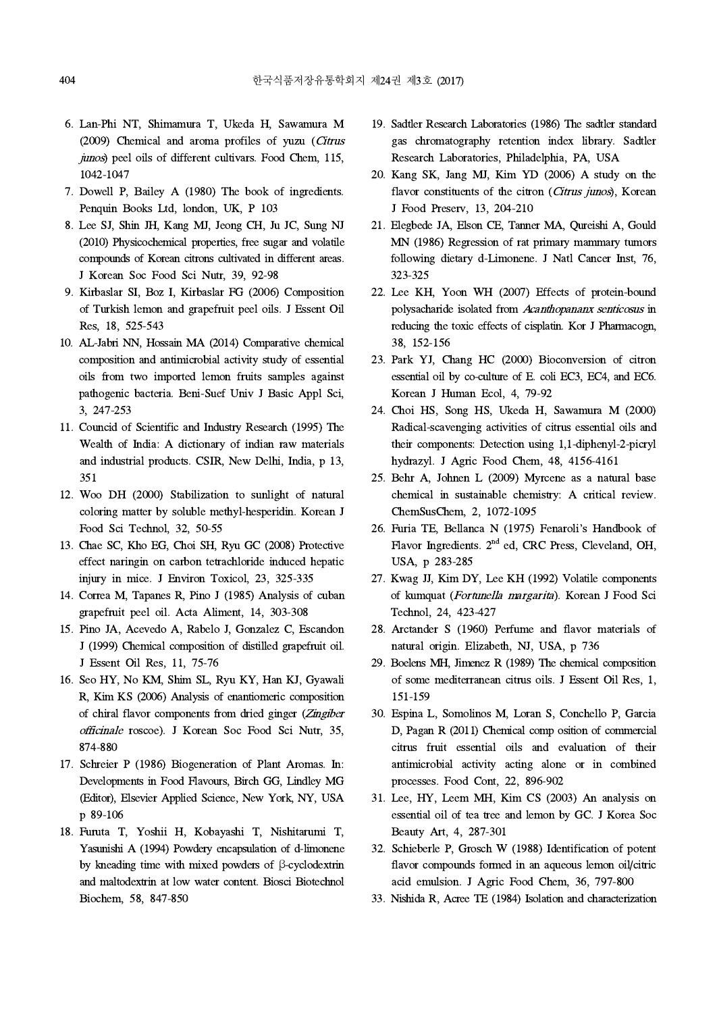- 6. Lan-Phi NT, Shimamura T, Ukeda H, Sawamura M (2009) Chemical and aroma profiles of yuzu (Citrus junos) peel oils of different cultivars. Food Chem, 115, 1042-1047
- 7. Dowell P, Bailey A (1980) The book of ingredients. Penquin Books Ltd, london, UK, P 103
- 8. Lee SJ, Shin JH, Kang MJ, Jeong CH, Ju JC, Sung NJ (2010) Physicochemical properties, free sugar and volatile compounds of Korean citrons cultivated in different areas. J Korean Soc Food Sci Nutr, 39, 92-98
- 9. Kirbaslar SI, Boz I, Kirbaslar FG (2006) Composition of Turkish lemon and grapefruit peel oils. J Essent Oil Res, 18, 525-543
- 10. AL-Jabri NN, Hossain MA (2014) Comparative chemical composition and antimicrobial activity study of essential oils from two imported lemon fruits samples against pathogenic bacteria. Beni-Suef Univ J Basic Appl Sci, 3, 247-253
- 11. Councid of Scientific and Industry Research (1995) The Wealth of India: A dictionary of indian raw materials and industrial products. CSIR, New Delhi, India, p 13, 351
- 12. Woo DH (2000) Stabilization to sunlight of natural coloring matter by soluble methyl-hesperidin. Korean J Food Sci Technol, 32, 50-55
- 13. Chae SC, Kho EG, Choi SH, Ryu GC (2008) Protective effect naringin on carbon tetrachloride induced hepatic injury in mice. J Environ Toxicol, 23, 325-335
- 14. Correa M, Tapanes R, Pino J (1985) Analysis of cuban grapefruit peel oil. Acta Aliment, 14, 303-308
- 15. Pino JA, Acevedo A, Rabelo J, Gonzalez C, Escandon J (1999) Chemical composition of distilled grapefruit oil. J Essent Oil Res, 11, 75-76
- 16. Seo HY, No KM, Shim SL, Ryu KY, Han KJ, Gyawali R, Kim KS (2006) Analysis of enantiomeric composition of chiral flavor components from dried ginger (Zingiber officinale roscoe). J Korean Soc Food Sci Nutr, 35, 874-880
- 17. Schreier P (1986) Biogeneration of Plant Aromas. In: Developments in Food Flavours, Birch GG, Lindley MG (Editor), Elsevier Applied Science, New York, NY, USA p 89-106
- 18. Furuta T, Yoshii H, Kobayashi T, Nishitarumi T, Yasunishi A (1994) Powdery encapsulation of d-limonene by kneading time with mixed powders of β-cyclodextrin and maltodextrin at low water content. Biosci Biotechnol Biochem, 58, 847-850
- 19. Sadtler Research Laboratories (1986) The sadtler standard gas chromatography retention index library. Sadtler Research Laboratories, Philadelphia, PA, USA
- 20. Kang SK, Jang MJ, Kim YD (2006) A study on the flavor constituents of the citron (Citrus junos), Korean J Food Preserv, 13, 204-210
- 21. Elegbede JA, Elson CE,Tanner MA, Qureishi A, Gould MN (1986) Regression of rat primary mammary tumors following dietary d-Limonene. J Natl Cancer Inst, 76, 323-325
- 22. Lee KH, Yoon WH (2007) Effects of protein-bound polysacharide isolated from Acanthopananx senticosus in reducing the toxic effects of cisplatin. Kor J Pharmacogn, 38, 152-156
- 23. Park YJ, Chang HC (2000) Bioconversion of citron essential oil by co-culture of E. coli EC3, EC4, and EC6. Korean J Human Ecol, 4, 79-92
- 24. Choi HS, Song HS, Ukeda H, Sawamura M (2000) Radical-scavenging activities of citrus essential oils and their components: Detection using 1,1-diphenyl-2-picryl hydrazyl. J Agric Food Chem, 48, 4156-4161
- 25. Behr A, Johnen L (2009) Myrcene as a natural base chemical in sustainable chemistry: A critical review. ChemSusChem, 2, 1072-1095
- 26. Furia TE, Bellanca N (1975) Fenaroli's Handbook of Flavor Ingredients. 2<sup>nd</sup> ed, CRC Press, Cleveland, OH, USA, p 283-285
- 27. Kwag JJ, Kim DY, Lee KH (1992) Volatile components of kumquat (Fortunella margarita). Korean J Food Sci Technol, 24, 423-427
- 28. Arctander S (1960) Perfume and flavor materials of natural origin. Elizabeth, NJ, USA, p 736
- 29. Boelens MH, Jimenez R (1989) The chemical composition of some mediterranean citrus oils. J Essent Oil Res, 1, 151-159
- 30. Espina L, Somolinos M, Loran S, Conchello P, Garcia D, Pagan R (2011) Chemical comp osition of commercial citrus fruit essential oils and evaluation of their antimicrobial activity acting alone or in combined processes. Food Cont, 22, 896-902
- 31. Lee, HY, Leem MH, Kim CS(2003) An analysis on essential oil of tea tree and lemon by GC. J Korea Soc Beauty Art, 4, 287-301
- 32. Schieberle P, Grosch W (1988) Identification of potent flavor compounds formed in an aqueous lemon oil/citric acid emulsion. J Agric Food Chem, 36, 797-800
- 33. Nishida R, Acree TE (1984) Isolation and characterization